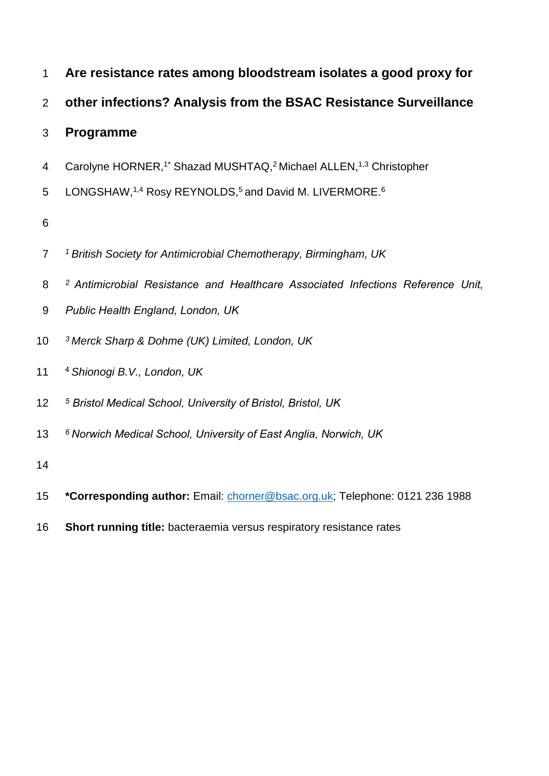| $\mathbf 1$    | Are resistance rates among bloodstream isolates a good proxy for                                      |
|----------------|-------------------------------------------------------------------------------------------------------|
| $\overline{2}$ | other infections? Analysis from the BSAC Resistance Surveillance                                      |
| 3              | Programme                                                                                             |
| $\overline{4}$ | Carolyne HORNER, <sup>1*</sup> Shazad MUSHTAQ, <sup>2</sup> Michael ALLEN, <sup>1,3</sup> Christopher |
| 5              | LONGSHAW, 1,4 Rosy REYNOLDS, <sup>5</sup> and David M. LIVERMORE. <sup>6</sup>                        |
| 6              |                                                                                                       |
| $\overline{7}$ | <sup>1</sup> British Society for Antimicrobial Chemotherapy, Birmingham, UK                           |
| 8              | <sup>2</sup> Antimicrobial Resistance and Healthcare Associated Infections Reference Unit,            |
| 9              | Public Health England, London, UK                                                                     |
| 10             | <sup>3</sup> Merck Sharp & Dohme (UK) Limited, London, UK                                             |
| 11             | <sup>4</sup> Shionogi B.V., London, UK                                                                |
| 12             | <sup>5</sup> Bristol Medical School, University of Bristol, Bristol, UK                               |
| 13             | <sup>6</sup> Norwich Medical School, University of East Anglia, Norwich, UK                           |
| 14             |                                                                                                       |
| 15             | *Corresponding author: Email: chorner@bsac.org.uk; Telephone: 0121 236 1988                           |
| 16             | Short running title: bacteraemia versus respiratory resistance rates                                  |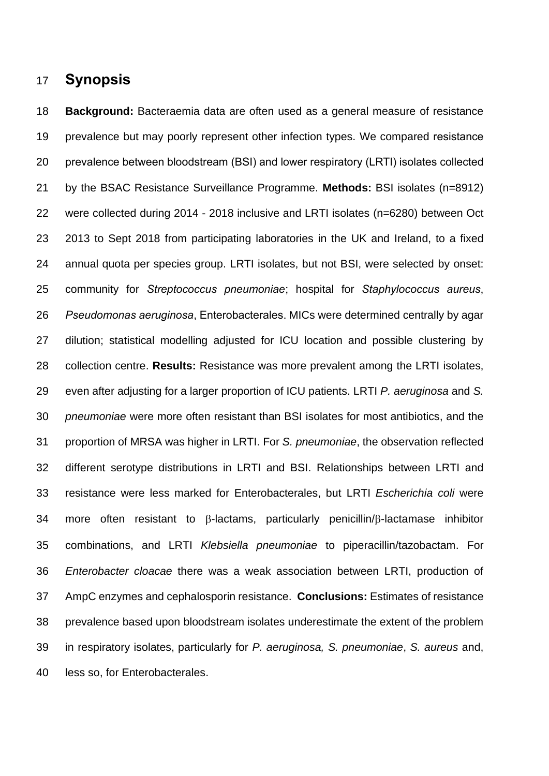#### **Synopsis**

 **Background:** Bacteraemia data are often used as a general measure of resistance prevalence but may poorly represent other infection types. We compared resistance prevalence between bloodstream (BSI) and lower respiratory (LRTI) isolates collected by the BSAC Resistance Surveillance Programme. **Methods:** BSI isolates (n=8912) were collected during 2014 - 2018 inclusive and LRTI isolates (n=6280) between Oct 2013 to Sept 2018 from participating laboratories in the UK and Ireland, to a fixed annual quota per species group. LRTI isolates, but not BSI, were selected by onset: community for *Streptococcus pneumoniae*; hospital for *Staphylococcus aureus*, *Pseudomonas aeruginosa*, Enterobacterales. MICs were determined centrally by agar dilution; statistical modelling adjusted for ICU location and possible clustering by collection centre. **Results:** Resistance was more prevalent among the LRTI isolates, even after adjusting for a larger proportion of ICU patients. LRTI *P. aeruginosa* and *S. pneumoniae* were more often resistant than BSI isolates for most antibiotics, and the proportion of MRSA was higher in LRTI. For *S. pneumoniae*, the observation reflected different serotype distributions in LRTI and BSI. Relationships between LRTI and resistance were less marked for Enterobacterales, but LRTI *Escherichia coli* were more often resistant to  $\beta$ -lactams, particularly penicillin/ $\beta$ -lactamase inhibitor combinations, and LRTI *Klebsiella pneumoniae* to piperacillin/tazobactam. For *Enterobacter cloacae* there was a weak association between LRTI, production of AmpC enzymes and cephalosporin resistance. **Conclusions:** Estimates of resistance prevalence based upon bloodstream isolates underestimate the extent of the problem in respiratory isolates, particularly for *P. aeruginosa, S. pneumoniae*, *S. aureus* and, less so, for Enterobacterales.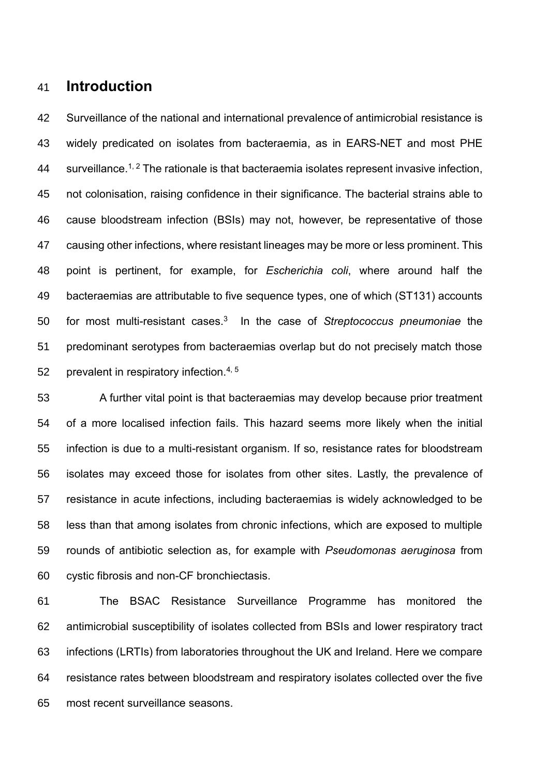#### **Introduction**

 Surveillance of the national and international prevalence of antimicrobial resistance is widely predicated on isolates from bacteraemia, as in EARS-NET and most PHE 44 surveillance.<sup>1, 2</sup> The rationale is that bacteraemia isolates represent invasive infection, not colonisation, raising confidence in their significance. The bacterial strains able to cause bloodstream infection (BSIs) may not, however, be representative of those causing other infections, where resistant lineages may be more or less prominent. This point is pertinent, for example, for *Escherichia coli*, where around half the bacteraemias are attributable to five sequence types, one of which (ST131) accounts for most multi-resistant cases.<sup>3</sup> In the case of *Streptococcus pneumoniae* the predominant serotypes from bacteraemias overlap but do not precisely match those 52 prevalent in respiratory infection.  $4, 5$ 

 A further vital point is that bacteraemias may develop because prior treatment of a more localised infection fails. This hazard seems more likely when the initial infection is due to a multi-resistant organism. If so, resistance rates for bloodstream isolates may exceed those for isolates from other sites. Lastly, the prevalence of resistance in acute infections, including bacteraemias is widely acknowledged to be less than that among isolates from chronic infections, which are exposed to multiple rounds of antibiotic selection as, for example with *Pseudomonas aeruginosa* from cystic fibrosis and non-CF bronchiectasis.

 The BSAC Resistance Surveillance Programme has monitored the antimicrobial susceptibility of isolates collected from BSIs and lower respiratory tract infections (LRTIs) from laboratories throughout the UK and Ireland. Here we compare resistance rates between bloodstream and respiratory isolates collected over the five most recent surveillance seasons.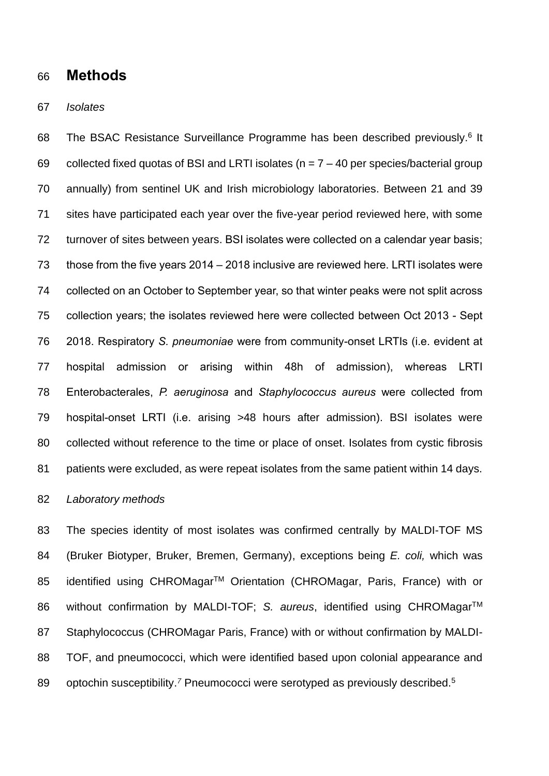#### **Methods**

#### *Isolates*

68 The BSAC Resistance Surveillance Programme has been described previously.<sup>6</sup> It 69 collected fixed quotas of BSI and LRTI isolates ( $n = 7 - 40$  per species/bacterial group annually) from sentinel UK and Irish microbiology laboratories. Between 21 and 39 sites have participated each year over the five-year period reviewed here, with some turnover of sites between years. BSI isolates were collected on a calendar year basis; those from the five years 2014 – 2018 inclusive are reviewed here. LRTI isolates were collected on an October to September year, so that winter peaks were not split across collection years; the isolates reviewed here were collected between Oct 2013 - Sept 2018. Respiratory *S. pneumoniae* were from community-onset LRTIs (i.e. evident at hospital admission or arising within 48h of admission), whereas LRTI Enterobacterales, *P. aeruginosa* and *Staphylococcus aureus* were collected from hospital-onset LRTI (i.e. arising >48 hours after admission). BSI isolates were collected without reference to the time or place of onset. Isolates from cystic fibrosis patients were excluded, as were repeat isolates from the same patient within 14 days.

#### *Laboratory methods*

 The species identity of most isolates was confirmed centrally by MALDI-TOF MS (Bruker Biotyper, Bruker, Bremen, Germany), exceptions being *E. coli,* which was 85 identified using CHROMagar<sup>™</sup> Orientation (CHROMagar, Paris, France) with or 86 without confirmation by MALDI-TOF; *S. aureus*, identified using CHROMagar<sup>™</sup> 87 Staphylococcus (CHROMagar Paris, France) with or without confirmation by MALDI- TOF, and pneumococci, which were identified based upon colonial appearance and 89 optochin susceptibility.<sup>7</sup> Pneumococci were serotyped as previously described.<sup>5</sup>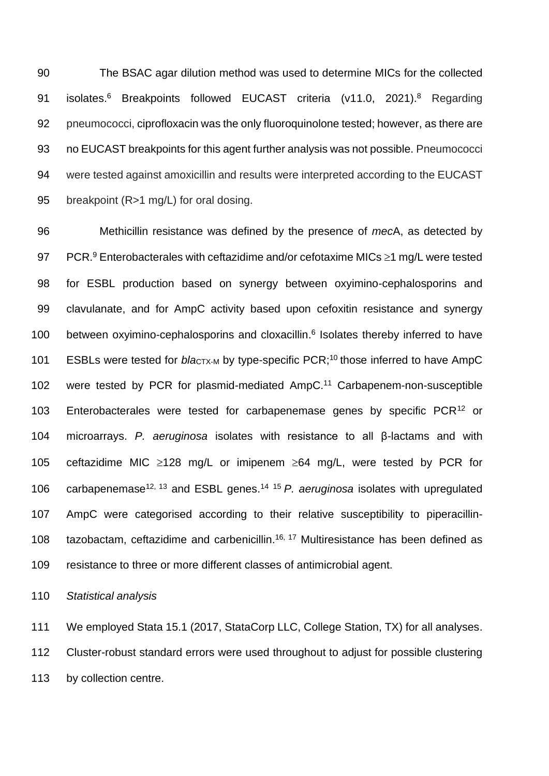The BSAC agar dilution method was used to determine MICs for the collected 91 isolates.<sup>6</sup> Breakpoints followed EUCAST criteria (v11.0, 2021).<sup>8</sup> Regarding pneumococci, ciprofloxacin was the only fluoroquinolone tested; however, as there are no EUCAST breakpoints for this agent further analysis was not possible. Pneumococci were tested against amoxicillin and results were interpreted according to the EUCAST 95 breakpoint (R>1 mg/L) for oral dosing.

96 Methicillin resistance was defined by the presence of *mec*A, as detected by 97 PCR.<sup>9</sup> Enterobacterales with ceftazidime and/or cefotaxime MICs  $\geq$ 1 mg/L were tested 98 for ESBL production based on synergy between oxyimino-cephalosporins and 99 clavulanate, and for AmpC activity based upon cefoxitin resistance and synergy 100 between oxyimino-cephalosporins and cloxacillin.<sup>6</sup> Isolates thereby inferred to have 101 ESBLs were tested for *blactx-M* by type-specific PCR;<sup>10</sup> those inferred to have AmpC 102 were tested by PCR for plasmid-mediated AmpC.<sup>11</sup> Carbapenem-non-susceptible 103 Enterobacterales were tested for carbapenemase genes by specific  $PCR<sup>12</sup>$  or 104 microarrays. *P. aeruginosa* isolates with resistance to all β-lactams and with 105 ceftazidime MIC  $\ge$ 128 mg/L or imipenem  $\ge$ 64 mg/L, were tested by PCR for 106 carbapenemase<sup>12, 13</sup> and ESBL genes.<sup>14 15</sup> *P. aeruginosa* isolates with upregulated 107 AmpC were categorised according to their relative susceptibility to piperacillin-108 tazobactam, ceftazidime and carbenicillin.<sup>16, 17</sup> Multiresistance has been defined as 109 resistance to three or more different classes of antimicrobial agent.

110 *Statistical analysis*

111 We employed Stata 15.1 (2017, StataCorp LLC, College Station, TX) for all analyses. 112 Cluster-robust standard errors were used throughout to adjust for possible clustering 113 by collection centre.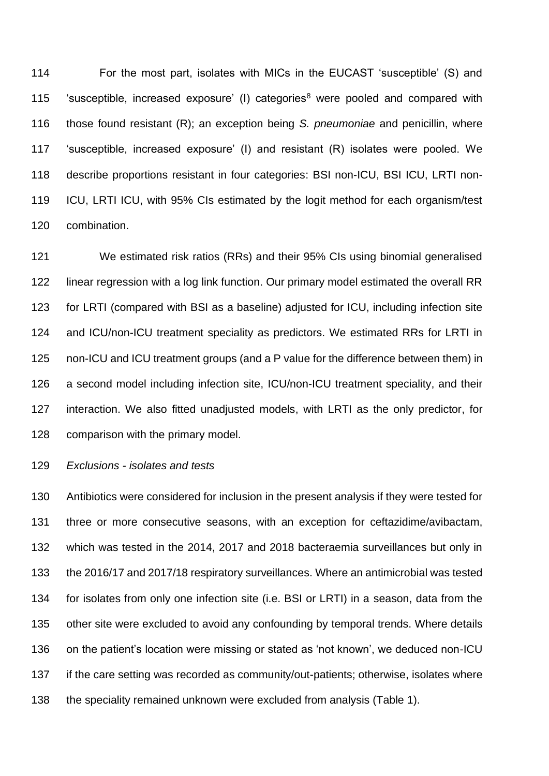For the most part, isolates with MICs in the EUCAST 'susceptible' (S) and 115 'susceptible, increased exposure' (I) categories<sup>8</sup> were pooled and compared with those found resistant (R); an exception being *S. pneumoniae* and penicillin, where 'susceptible, increased exposure' (I) and resistant (R) isolates were pooled. We describe proportions resistant in four categories: BSI non-ICU, BSI ICU, LRTI non- ICU, LRTI ICU, with 95% CIs estimated by the logit method for each organism/test combination.

 We estimated risk ratios (RRs) and their 95% CIs using binomial generalised linear regression with a log link function. Our primary model estimated the overall RR for LRTI (compared with BSI as a baseline) adjusted for ICU, including infection site and ICU/non-ICU treatment speciality as predictors. We estimated RRs for LRTI in non-ICU and ICU treatment groups (and a P value for the difference between them) in a second model including infection site, ICU/non-ICU treatment speciality, and their interaction. We also fitted unadjusted models, with LRTI as the only predictor, for comparison with the primary model.

*Exclusions - isolates and tests*

 Antibiotics were considered for inclusion in the present analysis if they were tested for three or more consecutive seasons, with an exception for ceftazidime/avibactam, which was tested in the 2014, 2017 and 2018 bacteraemia surveillances but only in the 2016/17 and 2017/18 respiratory surveillances. Where an antimicrobial was tested for isolates from only one infection site (i.e. BSI or LRTI) in a season, data from the other site were excluded to avoid any confounding by temporal trends. Where details on the patient's location were missing or stated as 'not known', we deduced non-ICU if the care setting was recorded as community/out-patients; otherwise, isolates where the speciality remained unknown were excluded from analysis (Table 1).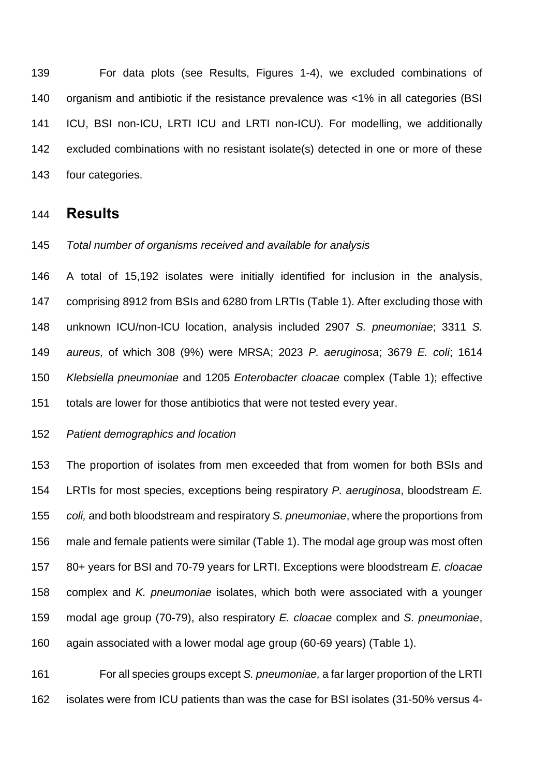For data plots (see Results, Figures 1-4), we excluded combinations of organism and antibiotic if the resistance prevalence was <1% in all categories (BSI ICU, BSI non-ICU, LRTI ICU and LRTI non-ICU). For modelling, we additionally excluded combinations with no resistant isolate(s) detected in one or more of these four categories.

#### **Results**

#### *Total number of organisms received and available for analysis*

 A total of 15,192 isolates were initially identified for inclusion in the analysis, comprising 8912 from BSIs and 6280 from LRTIs [\(Table 1\)](#page-20-0). After excluding those with unknown ICU/non-ICU location, analysis included 2907 *S. pneumoniae*; 3311 *S. aureus,* of which 308 (9%) were MRSA; 2023 *P. aeruginosa*; 3679 *E. coli*; 1614 *Klebsiella pneumoniae* and 1205 *Enterobacter cloacae* complex (Table 1); effective totals are lower for those antibiotics that were not tested every year.

#### *Patient demographics and location*

 The proportion of isolates from men exceeded that from women for both BSIs and LRTIs for most species, exceptions being respiratory *P. aeruginosa*, bloodstream *E. coli,* and both bloodstream and respiratory *S. pneumoniae*, where the proportions from male and female patients were similar [\(Table](#page-20-0) 1). The modal age group was most often 80+ years for BSI and 70-79 years for LRTI. Exceptions were bloodstream *E. cloacae* complex and *K. pneumoniae* isolates, which both were associated with a younger modal age group (70-79), also respiratory *E. cloacae* complex and *S. pneumoniae*, again associated with a lower modal age group (60-69 years) [\(Table 1\)](#page-20-0).

 For all species groups except *S. pneumoniae,* a far larger proportion of the LRTI isolates were from ICU patients than was the case for BSI isolates (31-50% versus 4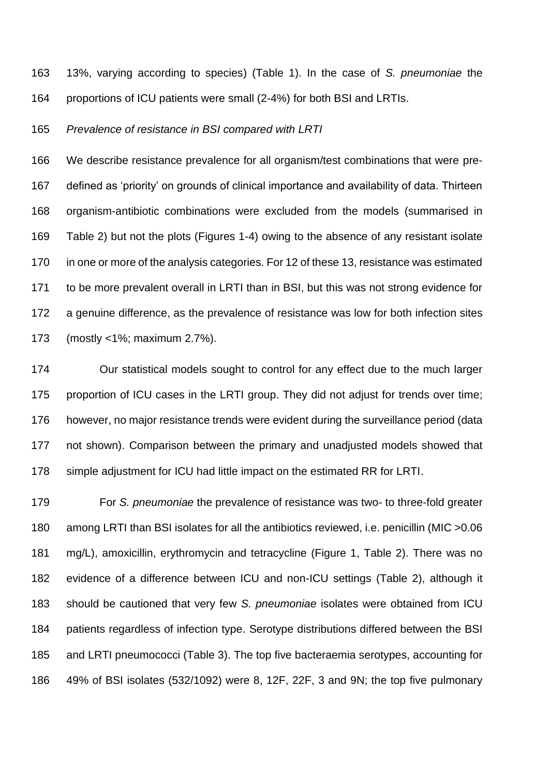13%, varying according to species) [\(Table 1\)](#page-20-0). In the case of *S. pneumoniae* the proportions of ICU patients were small (2-4%) for both BSI and LRTIs.

*Prevalence of resistance in BSI compared with LRTI*

 We describe resistance prevalence for all organism/test combinations that were pre- defined as 'priority' on grounds of clinical importance and availability of data. Thirteen organism-antibiotic combinations were excluded from the models (summarised in Table 2) but not the plots (Figures 1-4) owing to the absence of any resistant isolate in one or more of the analysis categories. For 12 of these 13, resistance was estimated to be more prevalent overall in LRTI than in BSI, but this was not strong evidence for a genuine difference, as the prevalence of resistance was low for both infection sites (mostly <1%; maximum 2.7%).

 Our statistical models sought to control for any effect due to the much larger proportion of ICU cases in the LRTI group. They did not adjust for trends over time; however, no major resistance trends were evident during the surveillance period (data not shown). Comparison between the primary and unadjusted models showed that simple adjustment for ICU had little impact on the estimated RR for LRTI.

 For *S. pneumoniae* the prevalence of resistance was two- to three-fold greater 180 among LRTI than BSI isolates for all the antibiotics reviewed, i.e. penicillin (MIC > 0.06 mg/L), amoxicillin, erythromycin and tetracycline (Figure 1, Table 2). There was no evidence of a difference between ICU and non-ICU settings (Table 2), although it should be cautioned that very few *S. pneumoniae* isolates were obtained from ICU patients regardless of infection type. Serotype distributions differed between the BSI and LRTI pneumococci (Table 3). The top five bacteraemia serotypes, accounting for 49% of BSI isolates (532/1092) were 8, 12F, 22F, 3 and 9N; the top five pulmonary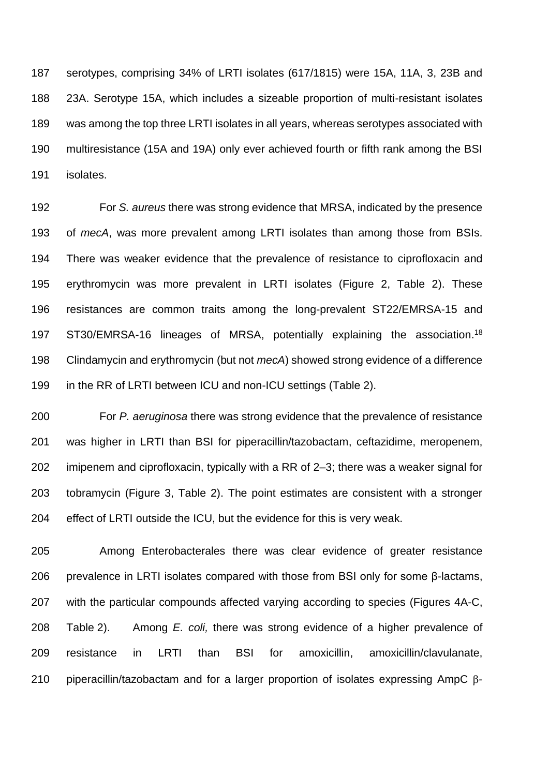serotypes, comprising 34% of LRTI isolates (617/1815) were 15A, 11A, 3, 23B and 23A. Serotype 15A, which includes a sizeable proportion of multi-resistant isolates was among the top three LRTI isolates in all years, whereas serotypes associated with multiresistance (15A and 19A) only ever achieved fourth or fifth rank among the BSI isolates.

 For *S. aureus* there was strong evidence that MRSA, indicated by the presence of *mecA*, was more prevalent among LRTI isolates than among those from BSIs. There was weaker evidence that the prevalence of resistance to ciprofloxacin and erythromycin was more prevalent in LRTI isolates (Figure 2, Table 2). These resistances are common traits among the long-prevalent ST22/EMRSA-15 and 197 ST30/EMRSA-16 lineages of MRSA, potentially explaining the association.<sup>18</sup> Clindamycin and erythromycin (but not *mecA*) showed strong evidence of a difference in the RR of LRTI between ICU and non-ICU settings (Table 2).

 For *P. aeruginosa* there was strong evidence that the prevalence of resistance was higher in LRTI than BSI for piperacillin/tazobactam, ceftazidime, meropenem, imipenem and ciprofloxacin, typically with a RR of 2–3; there was a weaker signal for tobramycin (Figure 3, Table 2). The point estimates are consistent with a stronger effect of LRTI outside the ICU, but the evidence for this is very weak.

 Among Enterobacterales there was clear evidence of greater resistance prevalence in LRTI isolates compared with those from BSI only for some β-lactams, with the particular compounds affected varying according to species (Figures 4A-C, Table 2). Among *E. coli,* there was strong evidence of a higher prevalence of resistance in LRTI than BSI for amoxicillin, amoxicillin/clavulanate, 210 piperacillin/tazobactam and for a larger proportion of isolates expressing AmpC  $\beta$ -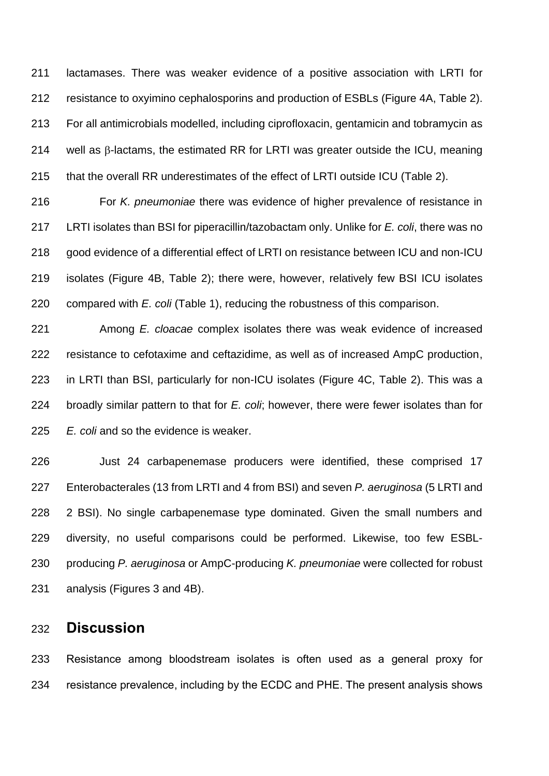lactamases. There was weaker evidence of a positive association with LRTI for resistance to oxyimino cephalosporins and production of ESBLs (Figure 4A, Table 2). For all antimicrobials modelled, including ciprofloxacin, gentamicin and tobramycin as 214 well as  $\beta$ -lactams, the estimated RR for LRTI was greater outside the ICU, meaning that the overall RR underestimates of the effect of LRTI outside ICU (Table 2).

 For *K. pneumoniae* there was evidence of higher prevalence of resistance in LRTI isolates than BSI for piperacillin/tazobactam only. Unlike for *E. coli*, there was no good evidence of a differential effect of LRTI on resistance between ICU and non-ICU isolates (Figure 4B, Table 2); there were, however, relatively few BSI ICU isolates compared with *E. coli* (Table 1), reducing the robustness of this comparison.

 Among *E. cloacae* complex isolates there was weak evidence of increased resistance to cefotaxime and ceftazidime, as well as of increased AmpC production, in LRTI than BSI, particularly for non-ICU isolates (Figure 4C, Table 2). This was a broadly similar pattern to that for *E. coli*; however, there were fewer isolates than for *E. coli* and so the evidence is weaker.

 Just 24 carbapenemase producers were identified, these comprised 17 Enterobacterales (13 from LRTI and 4 from BSI) and seven *P. aeruginosa* (5 LRTI and 2 BSI). No single carbapenemase type dominated. Given the small numbers and diversity, no useful comparisons could be performed. Likewise, too few ESBL- producing *P. aeruginosa* or AmpC-producing *K. pneumoniae* were collected for robust analysis (Figures 3 and 4B).

### **Discussion**

 Resistance among bloodstream isolates is often used as a general proxy for resistance prevalence, including by the ECDC and PHE. The present analysis shows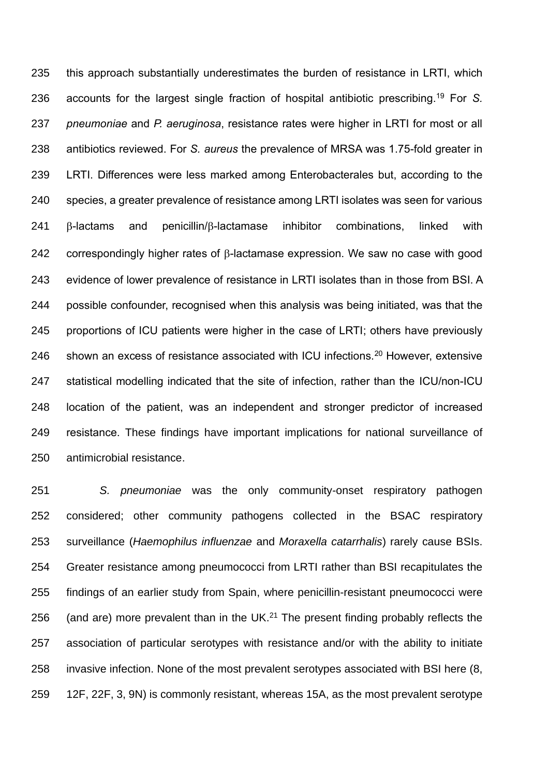this approach substantially underestimates the burden of resistance in LRTI, which 236 accounts for the largest single fraction of hospital antibiotic prescribing.<sup>19</sup> For *S. pneumoniae* and *P. aeruginosa*, resistance rates were higher in LRTI for most or all antibiotics reviewed. For *S. aureus* the prevalence of MRSA was 1.75-fold greater in LRTI. Differences were less marked among Enterobacterales but, according to the species, a greater prevalence of resistance among LRTI isolates was seen for various  $\beta$ -lactams and penicillin/ $\beta$ -lactamase inhibitor combinations, linked with correspondingly higher rates of  $\beta$ -lactamase expression. We saw no case with good evidence of lower prevalence of resistance in LRTI isolates than in those from BSI. A possible confounder, recognised when this analysis was being initiated, was that the proportions of ICU patients were higher in the case of LRTI; others have previously 246 shown an excess of resistance associated with ICU infections.<sup>20</sup> However, extensive statistical modelling indicated that the site of infection, rather than the ICU/non-ICU location of the patient, was an independent and stronger predictor of increased resistance. These findings have important implications for national surveillance of antimicrobial resistance.

 *S. pneumoniae* was the only community-onset respiratory pathogen considered; other community pathogens collected in the BSAC respiratory surveillance (*Haemophilus influenzae* and *Moraxella catarrhalis*) rarely cause BSIs. Greater resistance among pneumococci from LRTI rather than BSI recapitulates the findings of an earlier study from Spain, where penicillin-resistant pneumococci were 256 (and are) more prevalent than in the UK. $^{21}$  The present finding probably reflects the association of particular serotypes with resistance and/or with the ability to initiate invasive infection. None of the most prevalent serotypes associated with BSI here (8, 12F, 22F, 3, 9N) is commonly resistant, whereas 15A, as the most prevalent serotype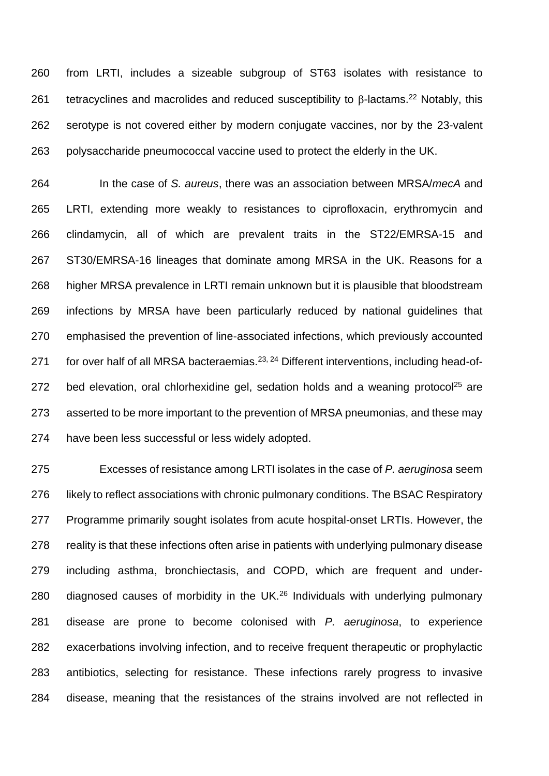from LRTI, includes a sizeable subgroup of ST63 isolates with resistance to 261 tetracyclines and macrolides and reduced susceptibility to  $\beta$ -lactams. <sup>22</sup> Notably, this serotype is not covered either by modern conjugate vaccines, nor by the 23-valent polysaccharide pneumococcal vaccine used to protect the elderly in the UK.

 In the case of *S. aureus*, there was an association between MRSA/*mecA* and LRTI, extending more weakly to resistances to ciprofloxacin, erythromycin and clindamycin, all of which are prevalent traits in the ST22/EMRSA-15 and ST30/EMRSA-16 lineages that dominate among MRSA in the UK. Reasons for a higher MRSA prevalence in LRTI remain unknown but it is plausible that bloodstream infections by MRSA have been particularly reduced by national guidelines that emphasised the prevention of line-associated infections, which previously accounted 271 for over half of all MRSA bacteraemias.<sup>23, 24</sup> Different interventions, including head-of-272 bed elevation, oral chlorhexidine gel, sedation holds and a weaning protocol<sup>25</sup> are asserted to be more important to the prevention of MRSA pneumonias, and these may have been less successful or less widely adopted.

 Excesses of resistance among LRTI isolates in the case of *P. aeruginosa* seem 276 likely to reflect associations with chronic pulmonary conditions. The BSAC Respiratory Programme primarily sought isolates from acute hospital-onset LRTIs. However, the reality is that these infections often arise in patients with underlying pulmonary disease including asthma, bronchiectasis, and COPD, which are frequent and under-280 diagnosed causes of morbidity in the UK. $^{26}$  Individuals with underlying pulmonary disease are prone to become colonised with *P. aeruginosa*, to experience exacerbations involving infection, and to receive frequent therapeutic or prophylactic antibiotics, selecting for resistance. These infections rarely progress to invasive disease, meaning that the resistances of the strains involved are not reflected in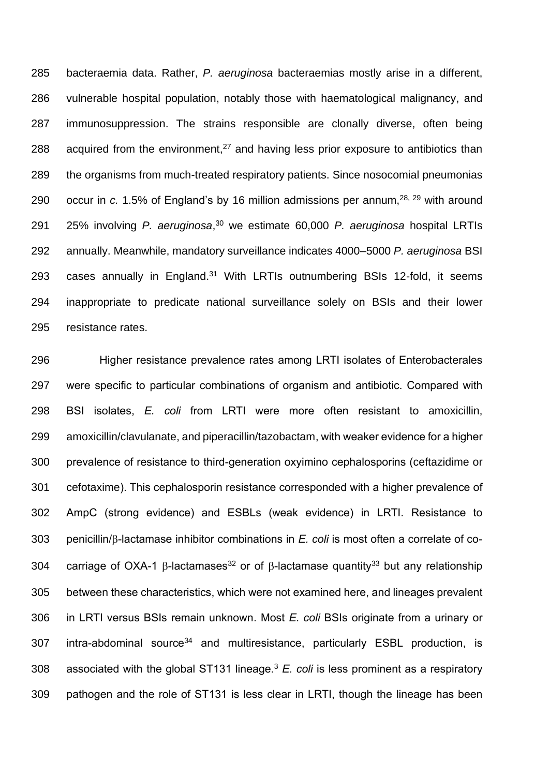bacteraemia data. Rather, *P. aeruginosa* bacteraemias mostly arise in a different, vulnerable hospital population, notably those with haematological malignancy, and immunosuppression. The strains responsible are clonally diverse, often being 288 acquired from the environment, and having less prior exposure to antibiotics than the organisms from much-treated respiratory patients. Since nosocomial pneumonias 290 occur in  $c.$  1.5% of England's by 16 million admissions per annum,  $28$ ,  $29$  with around 25% involving *P. aeruginosa*, <sup>30</sup> we estimate 60,000 *P. aeruginosa* hospital LRTIs annually. Meanwhile, mandatory surveillance indicates 4000–5000 *P. aeruginosa* BSI 293 cases annually in England.<sup>31</sup> With LRTIs outnumbering BSIs 12-fold, it seems inappropriate to predicate national surveillance solely on BSIs and their lower resistance rates.

 Higher resistance prevalence rates among LRTI isolates of Enterobacterales were specific to particular combinations of organism and antibiotic. Compared with BSI isolates, *E. coli* from LRTI were more often resistant to amoxicillin, amoxicillin/clavulanate, and piperacillin/tazobactam, with weaker evidence for a higher prevalence of resistance to third-generation oxyimino cephalosporins (ceftazidime or cefotaxime). This cephalosporin resistance corresponded with a higher prevalence of AmpC (strong evidence) and ESBLs (weak evidence) in LRTI. Resistance to penicillin/ $\beta$ -lactamase inhibitor combinations in *E. coli* is most often a correlate of co-304 carriage of OXA-1  $\beta$ -lactamases<sup>32</sup> or of  $\beta$ -lactamase quantity<sup>33</sup> but any relationship between these characteristics, which were not examined here, and lineages prevalent in LRTI versus BSIs remain unknown. Most *E. coli* BSIs originate from a urinary or 307 intra-abdominal source<sup>34</sup> and multiresistance, particularly ESBL production, is 308 associated with the global ST131 lineage.<sup>3</sup>  $E$ . coli is less prominent as a respiratory pathogen and the role of ST131 is less clear in LRTI, though the lineage has been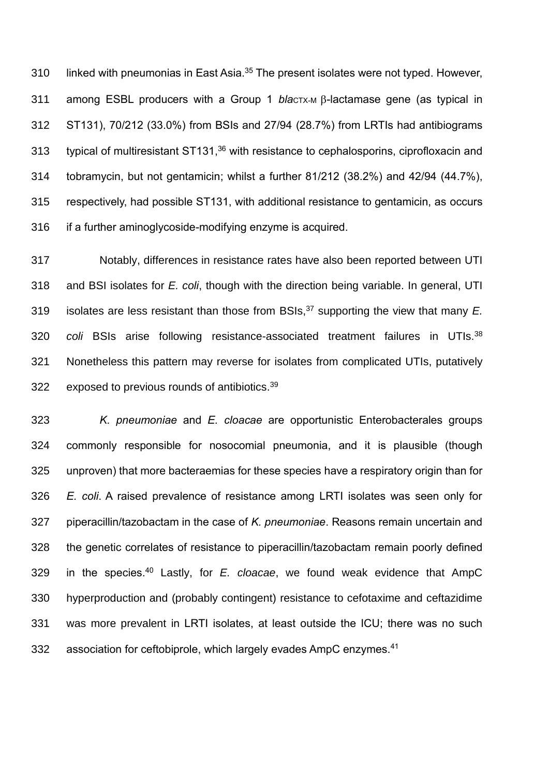310 linked with pneumonias in East Asia.<sup>35</sup> The present isolates were not typed. However, 311 among ESBL producers with a Group 1 *blactx-M B*-lactamase gene (as typical in ST131), 70/212 (33.0%) from BSIs and 27/94 (28.7%) from LRTIs had antibiograms 313 typical of multiresistant ST131, with resistance to cephalosporins, ciprofloxacin and tobramycin, but not gentamicin; whilst a further 81/212 (38.2%) and 42/94 (44.7%), respectively, had possible ST131, with additional resistance to gentamicin, as occurs if a further aminoglycoside-modifying enzyme is acquired.

 Notably, differences in resistance rates have also been reported between UTI and BSI isolates for *E. coli*, though with the direction being variable. In general, UTI isolates are less resistant than those from BSIs, <sup>37</sup> supporting the view that many *E. coli* BSIs arise following resistance-associated treatment failures in UTIs.<sup>38</sup> Nonetheless this pattern may reverse for isolates from complicated UTIs, putatively 322 exposed to previous rounds of antibiotics.

 *K. pneumoniae* and *E. cloacae* are opportunistic Enterobacterales groups commonly responsible for nosocomial pneumonia, and it is plausible (though unproven) that more bacteraemias for these species have a respiratory origin than for *E. coli*. A raised prevalence of resistance among LRTI isolates was seen only for piperacillin/tazobactam in the case of *K. pneumoniae*. Reasons remain uncertain and the genetic correlates of resistance to piperacillin/tazobactam remain poorly defined in the species.<sup>40</sup> Lastly, for *E. cloacae*, we found weak evidence that AmpC hyperproduction and (probably contingent) resistance to cefotaxime and ceftazidime was more prevalent in LRTI isolates, at least outside the ICU; there was no such 332 association for ceftobiprole, which largely evades AmpC enzymes.<sup>41</sup>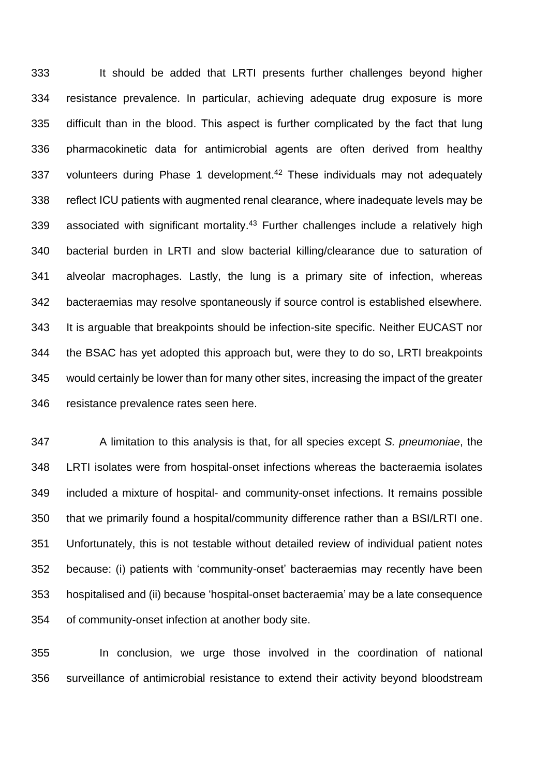It should be added that LRTI presents further challenges beyond higher resistance prevalence. In particular, achieving adequate drug exposure is more difficult than in the blood. This aspect is further complicated by the fact that lung pharmacokinetic data for antimicrobial agents are often derived from healthy 337 volunteers during Phase 1 development.<sup>42</sup> These individuals may not adequately reflect ICU patients with augmented renal clearance, where inadequate levels may be 339 associated with significant mortality. Further challenges include a relatively high bacterial burden in LRTI and slow bacterial killing/clearance due to saturation of alveolar macrophages. Lastly, the lung is a primary site of infection, whereas bacteraemias may resolve spontaneously if source control is established elsewhere. It is arguable that breakpoints should be infection-site specific. Neither EUCAST nor the BSAC has yet adopted this approach but, were they to do so, LRTI breakpoints would certainly be lower than for many other sites, increasing the impact of the greater resistance prevalence rates seen here.

 A limitation to this analysis is that, for all species except *S. pneumoniae*, the LRTI isolates were from hospital-onset infections whereas the bacteraemia isolates included a mixture of hospital- and community-onset infections. It remains possible that we primarily found a hospital/community difference rather than a BSI/LRTI one. Unfortunately, this is not testable without detailed review of individual patient notes because: (i) patients with 'community-onset' bacteraemias may recently have been hospitalised and (ii) because 'hospital-onset bacteraemia' may be a late consequence of community-onset infection at another body site.

 In conclusion, we urge those involved in the coordination of national surveillance of antimicrobial resistance to extend their activity beyond bloodstream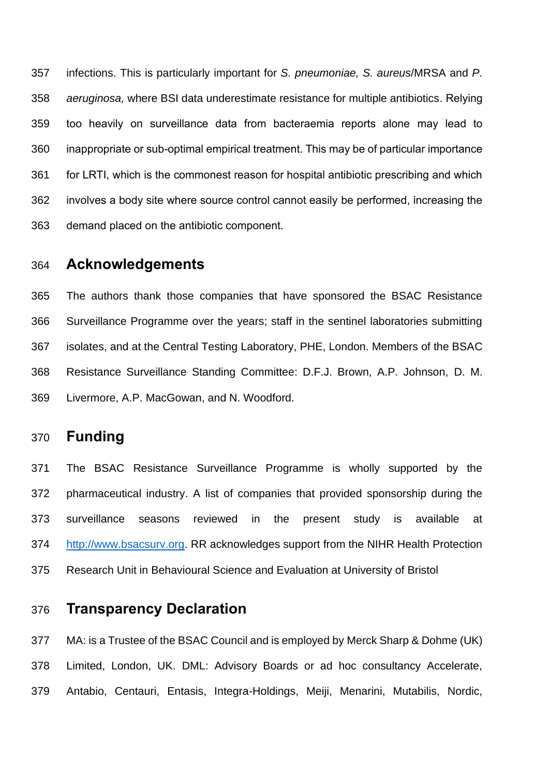infections. This is particularly important for *S. pneumoniae, S. aureus*/MRSA and *P. aeruginosa,* where BSI data underestimate resistance for multiple antibiotics. Relying too heavily on surveillance data from bacteraemia reports alone may lead to inappropriate or sub-optimal empirical treatment. This may be of particular importance for LRTI, which is the commonest reason for hospital antibiotic prescribing and which involves a body site where source control cannot easily be performed, increasing the demand placed on the antibiotic component.

### **Acknowledgements**

 The authors thank those companies that have sponsored the BSAC Resistance Surveillance Programme over the years; staff in the sentinel laboratories submitting isolates, and at the Central Testing Laboratory, PHE, London. Members of the BSAC Resistance Surveillance Standing Committee: D.F.J. Brown, A.P. Johnson, D. M. Livermore, A.P. MacGowan, and N. Woodford.

## **Funding**

 The BSAC Resistance Surveillance Programme is wholly supported by the pharmaceutical industry. A list of companies that provided sponsorship during the surveillance seasons reviewed in the present study is available at [http://www.bsacsurv.org.](http://www.bsacsurv.org/) RR acknowledges support from the NIHR Health Protection Research Unit in Behavioural Science and Evaluation at University of Bristol

## **Transparency Declaration**

 MA: is a Trustee of the BSAC Council and is employed by Merck Sharp & Dohme (UK) Limited, London, UK. DML: Advisory Boards or ad hoc consultancy Accelerate, Antabio, Centauri, Entasis, Integra-Holdings, Meiji, Menarini, Mutabilis, Nordic,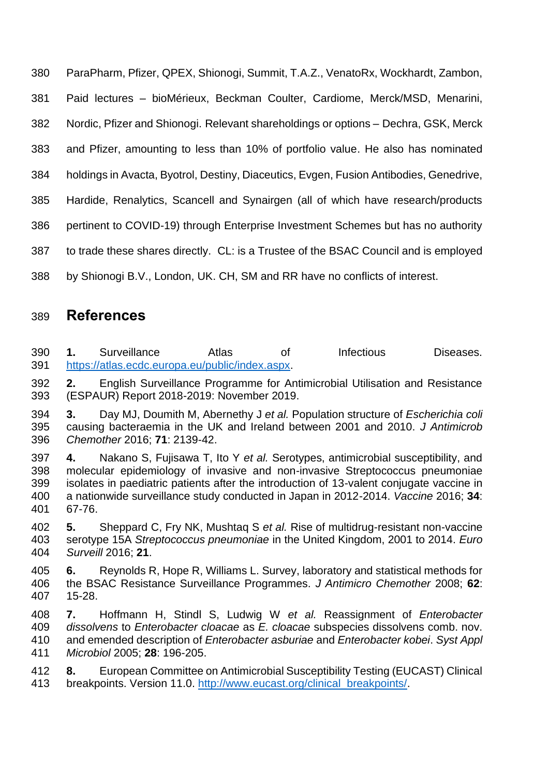ParaPharm, Pfizer, QPEX, Shionogi, Summit, T.A.Z., VenatoRx, Wockhardt, Zambon, Paid lectures – bioMérieux, Beckman Coulter, Cardiome, Merck/MSD, Menarini, Nordic, Pfizer and Shionogi. Relevant shareholdings or options – Dechra, GSK, Merck and Pfizer, amounting to less than 10% of portfolio value. He also has nominated holdings in Avacta, Byotrol, Destiny, Diaceutics, Evgen, Fusion Antibodies, Genedrive, Hardide, Renalytics, Scancell and Synairgen (all of which have research/products pertinent to COVID-19) through Enterprise Investment Schemes but has no authority to trade these shares directly. CL: is a Trustee of the BSAC Council and is employed

## by Shionogi B.V., London, UK. CH, SM and RR have no conflicts of interest.

### **References**

 **1.** Surveillance Atlas of Infectious Diseases. [https://atlas.ecdc.europa.eu/public/index.aspx.](https://atlas.ecdc.europa.eu/public/index.aspx)

 **2.** English Surveillance Programme for Antimicrobial Utilisation and Resistance (ESPAUR) Report 2018-2019: November 2019.

 **3.** Day MJ, Doumith M, Abernethy J *et al.* Population structure of *Escherichia coli* causing bacteraemia in the UK and Ireland between 2001 and 2010. *J Antimicrob Chemother* 2016; **71**: 2139-42.

 **4.** Nakano S, Fujisawa T, Ito Y *et al.* Serotypes, antimicrobial susceptibility, and molecular epidemiology of invasive and non-invasive Streptococcus pneumoniae isolates in paediatric patients after the introduction of 13-valent conjugate vaccine in a nationwide surveillance study conducted in Japan in 2012-2014. *Vaccine* 2016; **34**: 67-76.

 **5.** Sheppard C, Fry NK, Mushtaq S *et al.* Rise of multidrug-resistant non-vaccine serotype 15A *Streptococcus pneumoniae* in the United Kingdom, 2001 to 2014. *Euro Surveill* 2016; **21**.

 **6.** Reynolds R, Hope R, Williams L. Survey, laboratory and statistical methods for the BSAC Resistance Surveillance Programmes. *J Antimicro Chemother* 2008; **62**: 15-28.

 **7.** Hoffmann H, Stindl S, Ludwig W *et al.* Reassignment of *Enterobacter dissolvens* to *Enterobacter cloacae* as *E. cloacae* subspecies dissolvens comb. nov. and emended description of *Enterobacter asburiae* and *Enterobacter kobei*. *Syst Appl Microbiol* 2005; **28**: 196-205.

 **8.** European Committee on Antimicrobial Susceptibility Testing (EUCAST) Clinical 413 breakpoints. Version 11.0. [http://www.eucast.org/clinical\\_breakpoints/.](http://www.eucast.org/clinical_breakpoints/)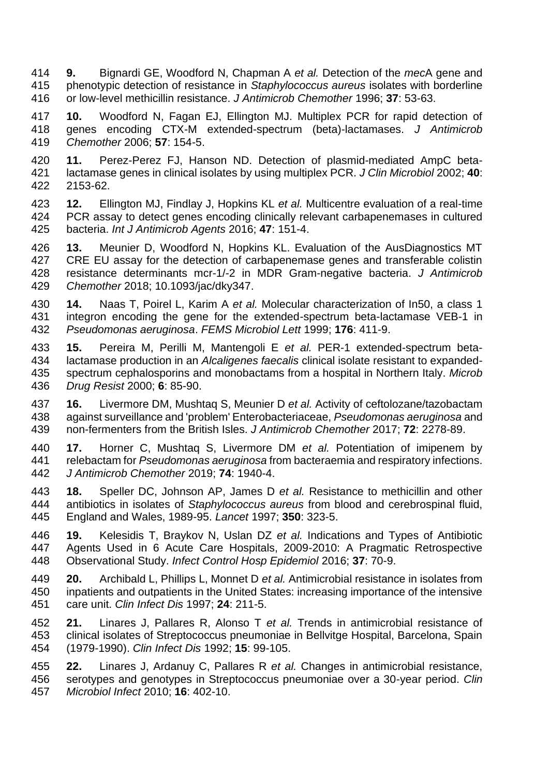**9.** Bignardi GE, Woodford N, Chapman A *et al.* Detection of the *mec*A gene and phenotypic detection of resistance in *Staphylococcus aureus* isolates with borderline or low-level methicillin resistance. *J Antimicrob Chemother* 1996; **37**: 53-63.

 **10.** Woodford N, Fagan EJ, Ellington MJ. Multiplex PCR for rapid detection of genes encoding CTX-M extended-spectrum (beta)-lactamases. *J Antimicrob Chemother* 2006; **57**: 154-5.

- **11.** Perez-Perez FJ, Hanson ND. Detection of plasmid-mediated AmpC beta- lactamase genes in clinical isolates by using multiplex PCR. *J Clin Microbiol* 2002; **40**: 2153-62.
- **12.** Ellington MJ, Findlay J, Hopkins KL *et al.* Multicentre evaluation of a real-time PCR assay to detect genes encoding clinically relevant carbapenemases in cultured bacteria. *Int J Antimicrob Agents* 2016; **47**: 151-4.
- **13.** Meunier D, Woodford N, Hopkins KL. Evaluation of the AusDiagnostics MT CRE EU assay for the detection of carbapenemase genes and transferable colistin resistance determinants mcr-1/-2 in MDR Gram-negative bacteria. *J Antimicrob Chemother* 2018; 10.1093/jac/dky347.
- **14.** Naas T, Poirel L, Karim A *et al.* Molecular characterization of In50, a class 1 integron encoding the gene for the extended-spectrum beta-lactamase VEB-1 in *Pseudomonas aeruginosa*. *FEMS Microbiol Lett* 1999; **176**: 411-9.
- **15.** Pereira M, Perilli M, Mantengoli E *et al.* PER-1 extended-spectrum beta- lactamase production in an *Alcaligenes faecalis* clinical isolate resistant to expanded- spectrum cephalosporins and monobactams from a hospital in Northern Italy. *Microb Drug Resist* 2000; **6**: 85-90.
- **16.** Livermore DM, Mushtaq S, Meunier D *et al.* Activity of ceftolozane/tazobactam against surveillance and 'problem' Enterobacteriaceae, *Pseudomonas aeruginosa* and non-fermenters from the British Isles. *J Antimicrob Chemother* 2017; **72**: 2278-89.
- **17.** Horner C, Mushtaq S, Livermore DM *et al.* Potentiation of imipenem by relebactam for *Pseudomonas aeruginosa* from bacteraemia and respiratory infections. *J Antimicrob Chemother* 2019; **74**: 1940-4.
- **18.** Speller DC, Johnson AP, James D *et al.* Resistance to methicillin and other antibiotics in isolates of *Staphylococcus aureus* from blood and cerebrospinal fluid, England and Wales, 1989-95. *Lancet* 1997; **350**: 323-5.
- **19.** Kelesidis T, Braykov N, Uslan DZ *et al.* Indications and Types of Antibiotic Agents Used in 6 Acute Care Hospitals, 2009-2010: A Pragmatic Retrospective Observational Study. *Infect Control Hosp Epidemiol* 2016; **37**: 70-9.
- **20.** Archibald L, Phillips L, Monnet D *et al.* Antimicrobial resistance in isolates from inpatients and outpatients in the United States: increasing importance of the intensive care unit. *Clin Infect Dis* 1997; **24**: 211-5.
- **21.** Linares J, Pallares R, Alonso T *et al.* Trends in antimicrobial resistance of clinical isolates of Streptococcus pneumoniae in Bellvitge Hospital, Barcelona, Spain (1979-1990). *Clin Infect Dis* 1992; **15**: 99-105.
- **22.** Linares J, Ardanuy C, Pallares R *et al.* Changes in antimicrobial resistance, serotypes and genotypes in Streptococcus pneumoniae over a 30-year period. *Clin Microbiol Infect* 2010; **16**: 402-10.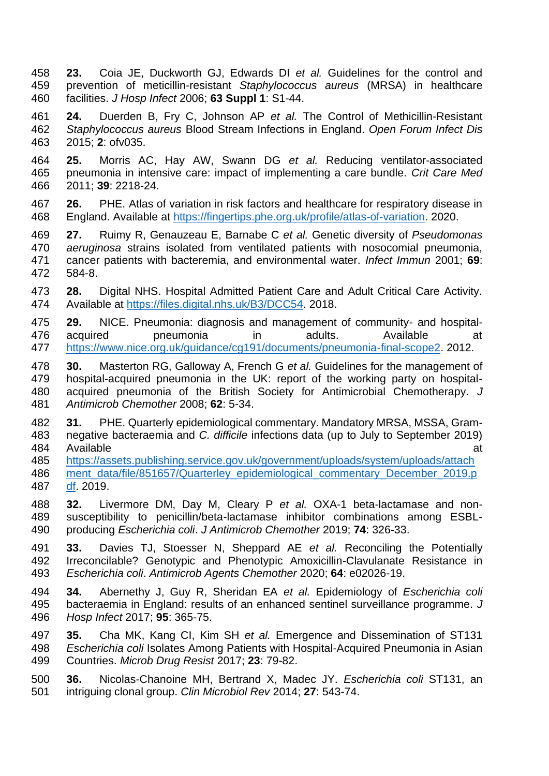- **23.** Coia JE, Duckworth GJ, Edwards DI *et al.* Guidelines for the control and prevention of meticillin-resistant *Staphylococcus aureus* (MRSA) in healthcare facilities. *J Hosp Infect* 2006; **63 Suppl 1**: S1-44.
- **24.** Duerden B, Fry C, Johnson AP *et al.* The Control of Methicillin-Resistant *Staphylococcus aureus* Blood Stream Infections in England. *Open Forum Infect Dis*  2015; **2**: ofv035.
- **25.** Morris AC, Hay AW, Swann DG *et al.* Reducing ventilator-associated pneumonia in intensive care: impact of implementing a care bundle. *Crit Care Med*  2011; **39**: 2218-24.
- **26.** PHE. Atlas of variation in risk factors and healthcare for respiratory disease in England. Available at [https://fingertips.phe.org.uk/profile/atlas-of-variation.](https://fingertips.phe.org.uk/profile/atlas-of-variation) 2020.
- **27.** Ruimy R, Genauzeau E, Barnabe C *et al.* Genetic diversity of *Pseudomonas aeruginosa* strains isolated from ventilated patients with nosocomial pneumonia, cancer patients with bacteremia, and environmental water. *Infect Immun* 2001; **69**: 584-8.
- **28.** Digital NHS. Hospital Admitted Patient Care and Adult Critical Care Activity. Available at [https://files.digital.nhs.uk/B3/DCC54.](https://files.digital.nhs.uk/B3/DCC54) 2018.
- **29.** NICE. Pneumonia: diagnosis and management of community- and hospital- acquired pneumonia in adults. Available at [https://www.nice.org.uk/guidance/cg191/documents/pneumonia-final-scope2.](https://www.nice.org.uk/guidance/cg191/documents/pneumonia-final-scope2) 2012.
- **30.** Masterton RG, Galloway A, French G *et al.* Guidelines for the management of hospital-acquired pneumonia in the UK: report of the working party on hospital- acquired pneumonia of the British Society for Antimicrobial Chemotherapy. *J Antimicrob Chemother* 2008; **62**: 5-34.
- **31.** PHE. Quarterly epidemiological commentary. Mandatory MRSA, MSSA, Gram- negative bacteraemia and *C. difficile* infections data (up to July to September 2019) 484 Available at the state of the state of the state at  $\alpha$
- [https://assets.publishing.service.gov.uk/government/uploads/system/uploads/attach](https://assets.publishing.service.gov.uk/government/uploads/system/uploads/attachment_data/file/851657/Quarterley_epidemiological_commentary_December_2019.pdf) [ment\\_data/file/851657/Quarterley\\_epidemiological\\_commentary\\_December\\_2019.p](https://assets.publishing.service.gov.uk/government/uploads/system/uploads/attachment_data/file/851657/Quarterley_epidemiological_commentary_December_2019.pdf) [df.](https://assets.publishing.service.gov.uk/government/uploads/system/uploads/attachment_data/file/851657/Quarterley_epidemiological_commentary_December_2019.pdf) 2019.
- **32.** Livermore DM, Day M, Cleary P *et al.* OXA-1 beta-lactamase and non- susceptibility to penicillin/beta-lactamase inhibitor combinations among ESBL-producing *Escherichia coli*. *J Antimicrob Chemother* 2019; **74**: 326-33.
- **33.** Davies TJ, Stoesser N, Sheppard AE *et al.* Reconciling the Potentially Irreconcilable? Genotypic and Phenotypic Amoxicillin-Clavulanate Resistance in *Escherichia coli*. *Antimicrob Agents Chemother* 2020; **64**: e02026-19.
- **34.** Abernethy J, Guy R, Sheridan EA *et al.* Epidemiology of *Escherichia coli* bacteraemia in England: results of an enhanced sentinel surveillance programme. *J Hosp Infect* 2017; **95**: 365-75.
- **35.** Cha MK, Kang CI, Kim SH *et al.* Emergence and Dissemination of ST131 *Escherichia coli* Isolates Among Patients with Hospital-Acquired Pneumonia in Asian Countries. *Microb Drug Resist* 2017; **23**: 79-82.
- **36.** Nicolas-Chanoine MH, Bertrand X, Madec JY. *Escherichia coli* ST131, an intriguing clonal group. *Clin Microbiol Rev* 2014; **27**: 543-74.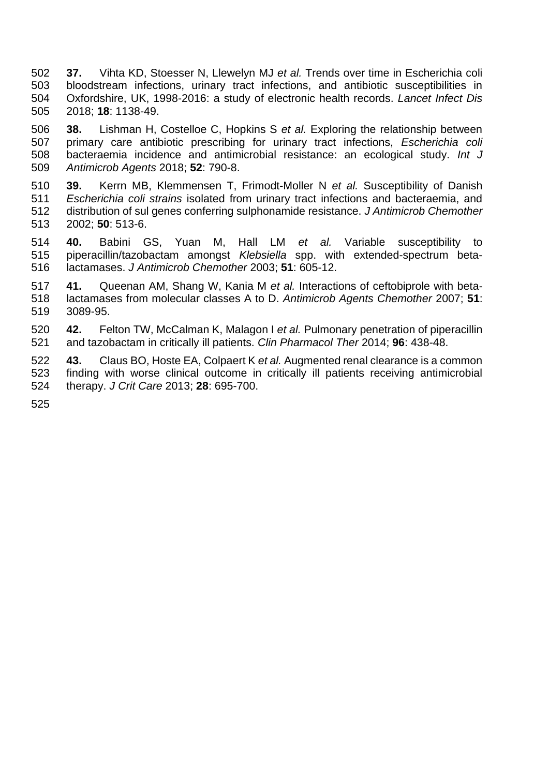- **37.** Vihta KD, Stoesser N, Llewelyn MJ *et al.* Trends over time in Escherichia coli bloodstream infections, urinary tract infections, and antibiotic susceptibilities in Oxfordshire, UK, 1998-2016: a study of electronic health records. *Lancet Infect Dis*  2018; **18**: 1138-49.
- **38.** Lishman H, Costelloe C, Hopkins S *et al.* Exploring the relationship between primary care antibiotic prescribing for urinary tract infections, *Escherichia coli* bacteraemia incidence and antimicrobial resistance: an ecological study. *Int J Antimicrob Agents* 2018; **52**: 790-8.
- **39.** Kerrn MB, Klemmensen T, Frimodt-Moller N *et al.* Susceptibility of Danish *Escherichia coli strains* isolated from urinary tract infections and bacteraemia, and distribution of sul genes conferring sulphonamide resistance. *J Antimicrob Chemother*  2002; **50**: 513-6.
- **40.** Babini GS, Yuan M, Hall LM *et al.* Variable susceptibility to piperacillin/tazobactam amongst *Klebsiella* spp. with extended-spectrum beta-lactamases. *J Antimicrob Chemother* 2003; **51**: 605-12.
- **41.** Queenan AM, Shang W, Kania M *et al.* Interactions of ceftobiprole with beta- lactamases from molecular classes A to D. *Antimicrob Agents Chemother* 2007; **51**: 3089-95.
- **42.** Felton TW, McCalman K, Malagon I *et al.* Pulmonary penetration of piperacillin and tazobactam in critically ill patients. *Clin Pharmacol Ther* 2014; **96**: 438-48.
- **43.** Claus BO, Hoste EA, Colpaert K *et al.* Augmented renal clearance is a common finding with worse clinical outcome in critically ill patients receiving antimicrobial therapy. *J Crit Care* 2013; **28**: 695-700.
-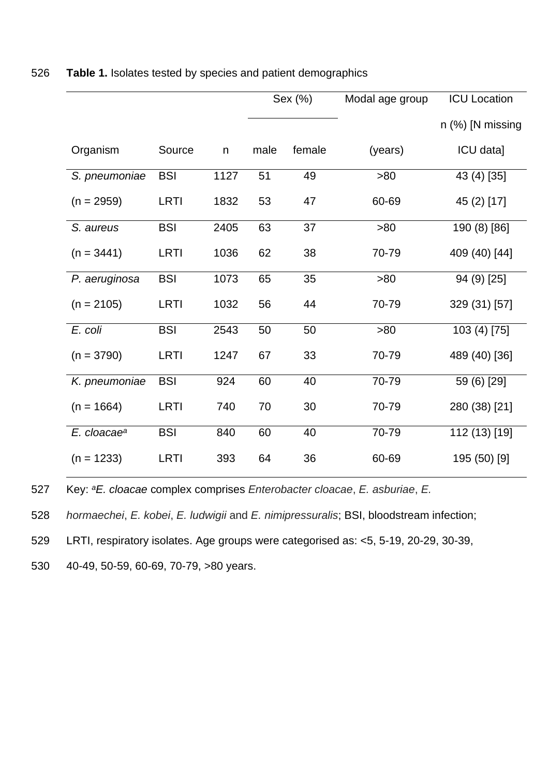<span id="page-20-0"></span>

|                         |             |             | Sex (%) |        | Modal age group | <b>ICU Location</b> |
|-------------------------|-------------|-------------|---------|--------|-----------------|---------------------|
|                         |             |             |         |        |                 | $n$ (%) [N missing  |
| Organism                | Source      | $\mathsf n$ | male    | female | (years)         | ICU data]           |
| S. pneumoniae           | <b>BSI</b>  | 1127        | 51      | 49     | >80             | 43 (4) [35]         |
| $(n = 2959)$            | <b>LRTI</b> | 1832        | 53      | 47     | 60-69           | 45 (2) [17]         |
| S. aureus               | <b>BSI</b>  | 2405        | 63      | 37     | >80             | 190 (8) [86]        |
| $(n = 3441)$            | <b>LRTI</b> | 1036        | 62      | 38     | 70-79           | 409 (40) [44]       |
| P. aeruginosa           | <b>BSI</b>  | 1073        | 65      | 35     | >80             | 94 (9) [25]         |
| $(n = 2105)$            | <b>LRTI</b> | 1032        | 56      | 44     | 70-79           | 329 (31) [57]       |
| E. coli                 | <b>BSI</b>  | 2543        | 50      | 50     | >80             | 103 (4) [75]        |
| $(n = 3790)$            | <b>LRTI</b> | 1247        | 67      | 33     | 70-79           | 489 (40) [36]       |
| K. pneumoniae           | <b>BSI</b>  | 924         | 60      | 40     | 70-79           | 59 (6) [29]         |
| $(n = 1664)$            | <b>LRTI</b> | 740         | 70      | 30     | 70-79           | 280 (38) [21]       |
| E. cloacae <sup>a</sup> | <b>BSI</b>  | 840         | 60      | 40     | 70-79           | 112 (13) [19]       |
| $(n = 1233)$            | <b>LRTI</b> | 393         | 64      | 36     | 60-69           | 195 (50) [9]        |

#### 526 **Table 1.** Isolates tested by species and patient demographics

Key: 527 *<sup>a</sup>E. cloacae* complex comprises *Enterobacter cloacae*, *E. asburiae*, *E.* 

528 *hormaechei*, *E. kobei*, *E. ludwigii* and *E. nimipressuralis*; BSI, bloodstream infection;

529 LRTI, respiratory isolates. Age groups were categorised as: <5, 5-19, 20-29, 30-39,

530 40-49, 50-59, 60-69, 70-79, >80 years.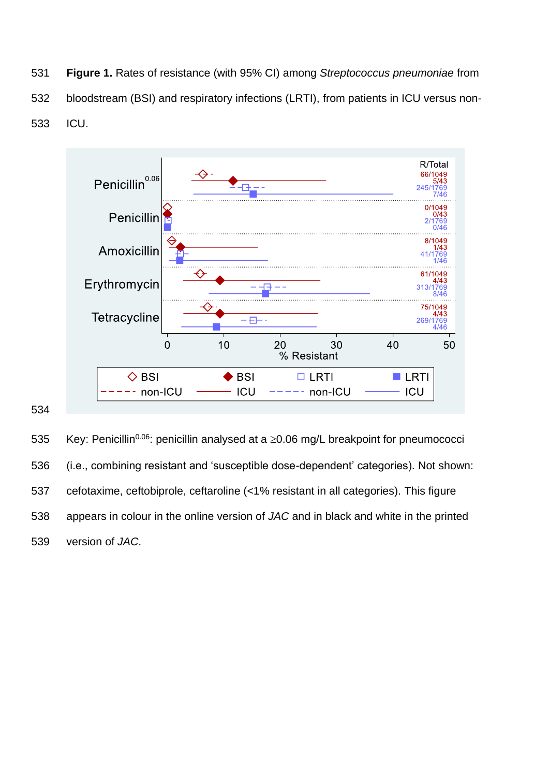**Figure 1.** Rates of resistance (with 95% CI) among *Streptococcus pneumoniae* from bloodstream (BSI) and respiratory infections (LRTI), from patients in ICU versus non-ICU.



535 Key: Penicillin<sup>0.06</sup>: penicillin analysed at a  $\geq$ 0.06 mg/L breakpoint for pneumococci (i.e., combining resistant and 'susceptible dose-dependent' categories). Not shown: cefotaxime, ceftobiprole, ceftaroline (<1% resistant in all categories). This figure appears in colour in the online version of *JAC* and in black and white in the printed version of *JAC*.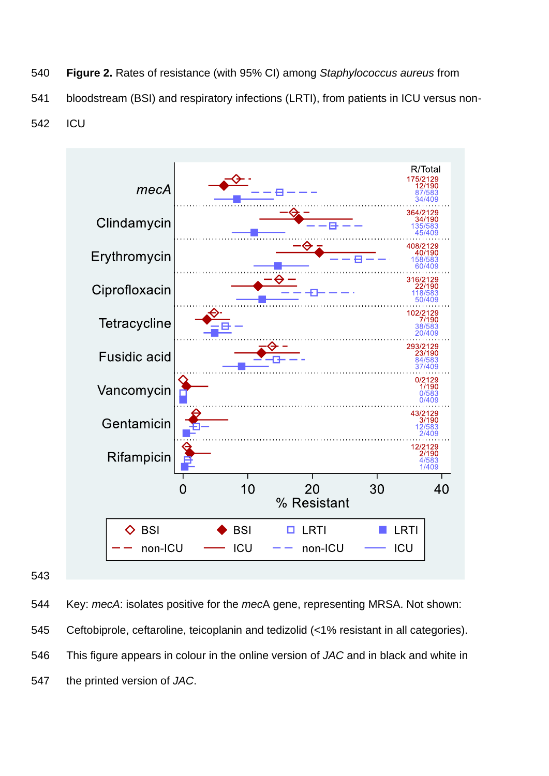**Figure 2.** Rates of resistance (with 95% CI) among *Staphylococcus aureus* from bloodstream (BSI) and respiratory infections (LRTI), from patients in ICU versus non-ICU



 Key: *mecA*: isolates positive for the *mec*A gene, representing MRSA. Not shown: Ceftobiprole, ceftaroline, teicoplanin and tedizolid (<1% resistant in all categories). This figure appears in colour in the online version of *JAC* and in black and white in the printed version of *JAC*.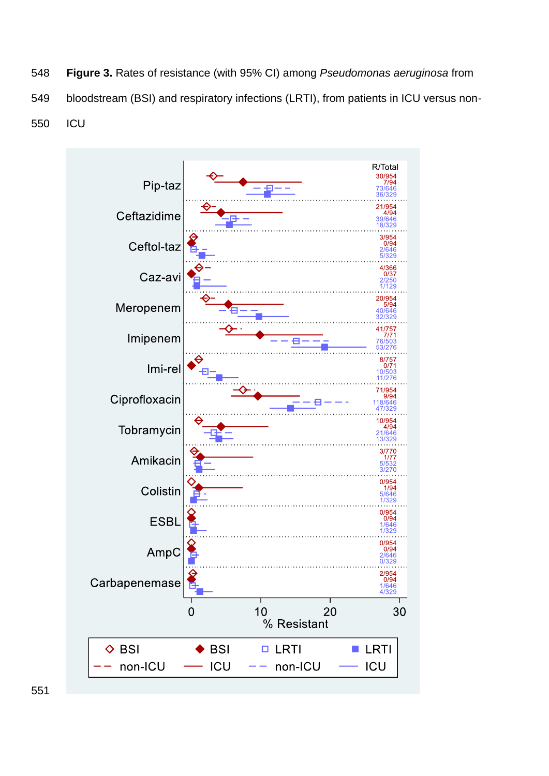**Figure 3.** Rates of resistance (with 95% CI) among *Pseudomonas aeruginosa* from bloodstream (BSI) and respiratory infections (LRTI), from patients in ICU versus non-ICU

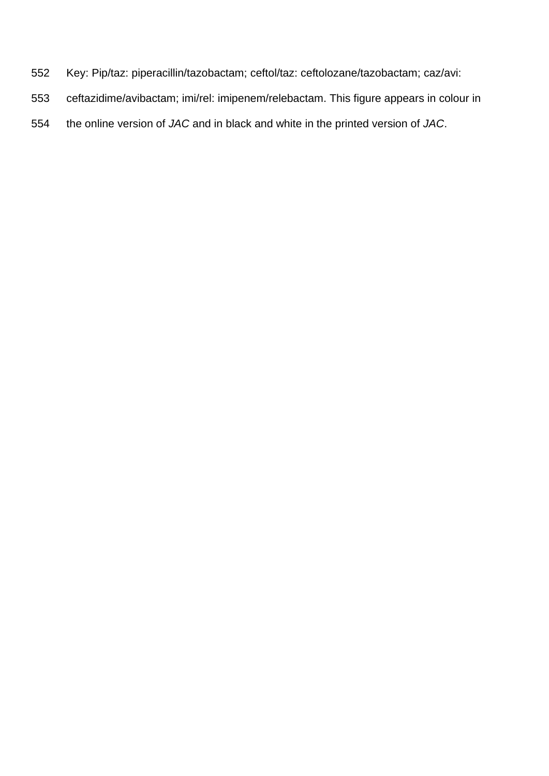- Key: Pip/taz: piperacillin/tazobactam; ceftol/taz: ceftolozane/tazobactam; caz/avi:
- ceftazidime/avibactam; imi/rel: imipenem/relebactam. This figure appears in colour in
- the online version of *JAC* and in black and white in the printed version of *JAC*.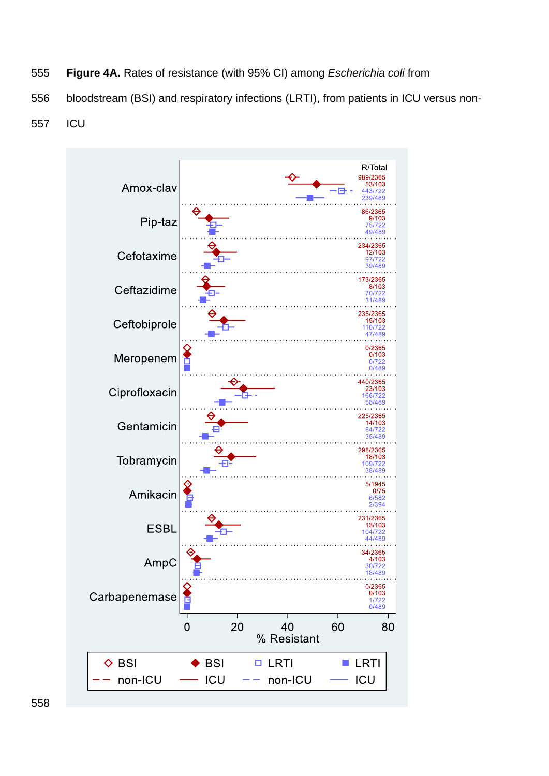- **Figure 4A.** Rates of resistance (with 95% CI) among *Escherichia coli* from
- bloodstream (BSI) and respiratory infections (LRTI), from patients in ICU versus non-
- ICU

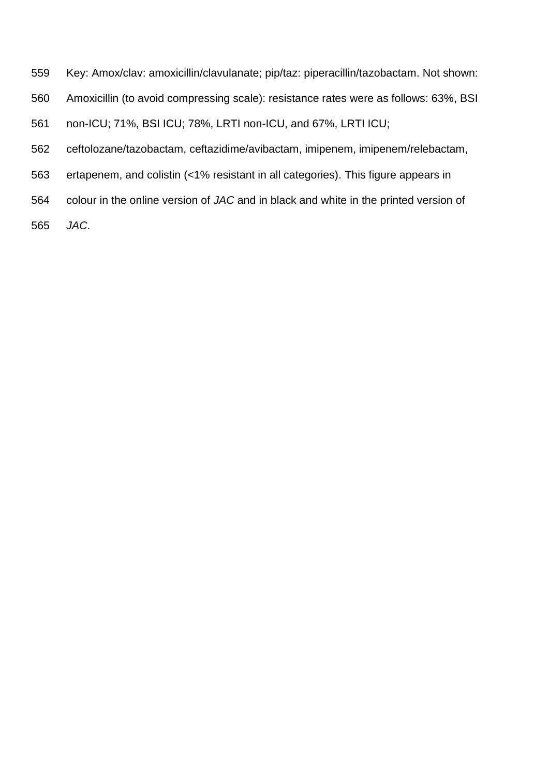- Key: Amox/clav: amoxicillin/clavulanate; pip/taz: piperacillin/tazobactam. Not shown:
- Amoxicillin (to avoid compressing scale): resistance rates were as follows: 63%, BSI
- non-ICU; 71%, BSI ICU; 78%, LRTI non-ICU, and 67%, LRTI ICU;
- ceftolozane/tazobactam, ceftazidime/avibactam, imipenem, imipenem/relebactam,
- ertapenem, and colistin (<1% resistant in all categories). This figure appears in
- colour in the online version of *JAC* and in black and white in the printed version of
- *JAC*.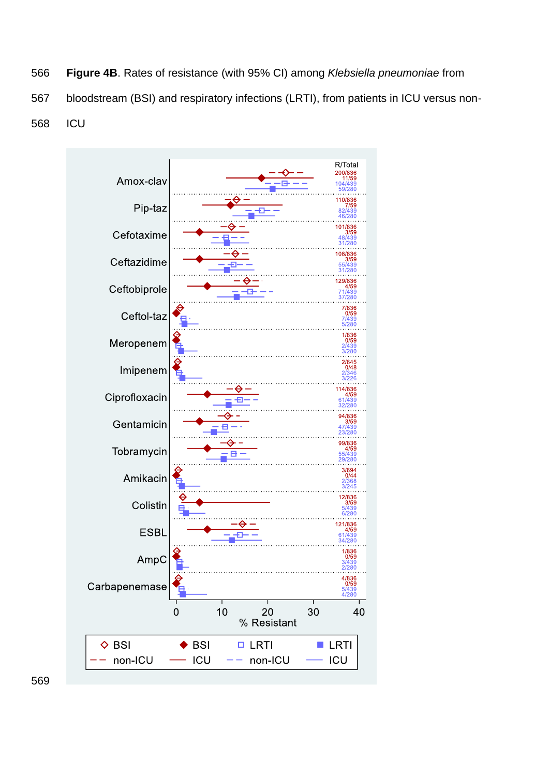- **Figure 4B**. Rates of resistance (with 95% CI) among *Klebsiella pneumoniae* from
- bloodstream (BSI) and respiratory infections (LRTI), from patients in ICU versus non-
- ICU

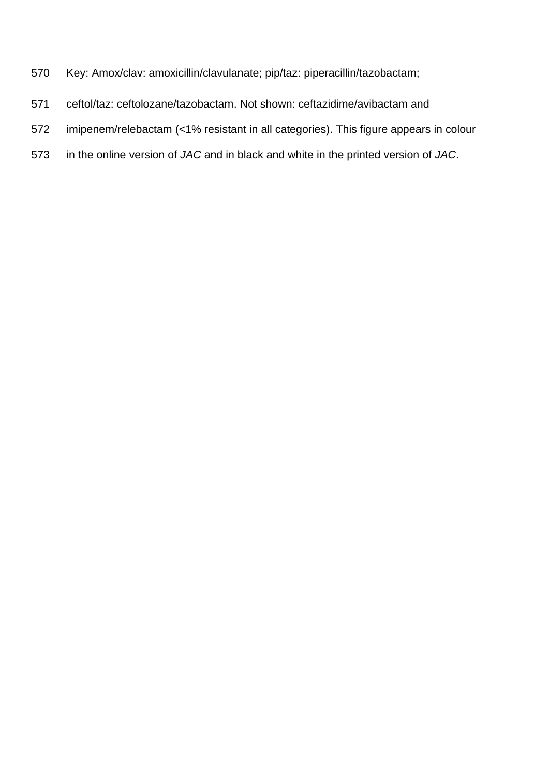- Key: Amox/clav: amoxicillin/clavulanate; pip/taz: piperacillin/tazobactam;
- ceftol/taz: ceftolozane/tazobactam. Not shown: ceftazidime/avibactam and
- imipenem/relebactam (<1% resistant in all categories). This figure appears in colour
- in the online version of *JAC* and in black and white in the printed version of *JAC*.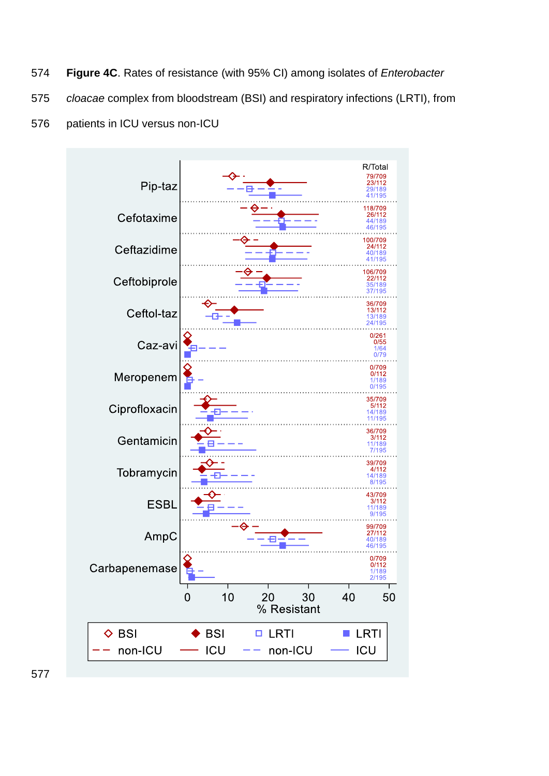- **Figure 4C**. Rates of resistance (with 95% CI) among isolates of *Enterobacter*
- *cloacae* complex from bloodstream (BSI) and respiratory infections (LRTI), from
- patients in ICU versus non-ICU

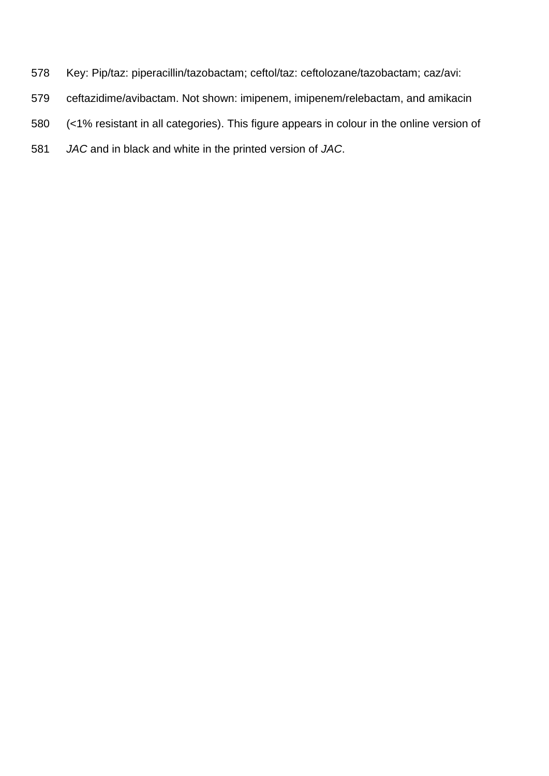- Key: Pip/taz: piperacillin/tazobactam; ceftol/taz: ceftolozane/tazobactam; caz/avi:
- ceftazidime/avibactam. Not shown: imipenem, imipenem/relebactam, and amikacin
- (<1% resistant in all categories). This figure appears in colour in the online version of
- *JAC* and in black and white in the printed version of *JAC*.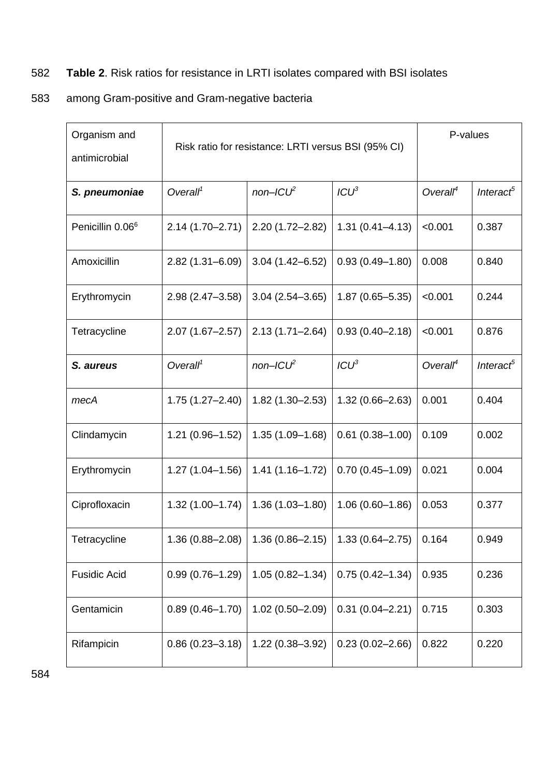# 582 **Table 2**. Risk ratios for resistance in LRTI isolates compared with BSI isolates

## 583 among Gram-positive and Gram-negative bacteria

| Organism and<br>antimicrobial | Risk ratio for resistance: LRTI versus BSI (95% CI) | P-values            |                     |                      |                       |
|-------------------------------|-----------------------------------------------------|---------------------|---------------------|----------------------|-----------------------|
| S. pneumoniae                 | Overall <sup>1</sup>                                | $non-ICU2$          | $ICU^3$             | Overall <sup>4</sup> | Interact <sup>5</sup> |
| Penicillin 0.06 <sup>6</sup>  | $2.14(1.70 - 2.71)$                                 | $2.20(1.72 - 2.82)$ | $1.31(0.41 - 4.13)$ | < 0.001              | 0.387                 |
| Amoxicillin                   | $2.82(1.31 - 6.09)$                                 | $3.04(1.42 - 6.52)$ | $0.93(0.49 - 1.80)$ | 0.008                | 0.840                 |
| Erythromycin                  | $2.98(2.47 - 3.58)$                                 | $3.04(2.54 - 3.65)$ | $1.87(0.65 - 5.35)$ | < 0.001              | 0.244                 |
| Tetracycline                  | $2.07(1.67 - 2.57)$                                 | $2.13(1.71 - 2.64)$ | $0.93(0.40 - 2.18)$ | < 0.001              | 0.876                 |
| S. aureus                     | Overall <sup>1</sup>                                | $non-ICU2$          | $ICU^3$             | Overall <sup>4</sup> | Interact <sup>5</sup> |
| mecA                          | $1.75(1.27 - 2.40)$                                 | $1.82(1.30 - 2.53)$ | $1.32(0.66 - 2.63)$ | 0.001                | 0.404                 |
| Clindamycin                   | $1.21(0.96 - 1.52)$                                 | $1.35(1.09 - 1.68)$ | $0.61(0.38 - 1.00)$ | 0.109                | 0.002                 |
| Erythromycin                  | $1.27(1.04 - 1.56)$                                 | $1.41(1.16 - 1.72)$ | $0.70(0.45 - 1.09)$ | 0.021                | 0.004                 |
| Ciprofloxacin                 | $1.32(1.00 - 1.74)$                                 | $1.36(1.03 - 1.80)$ | $1.06(0.60 - 1.86)$ | 0.053                | 0.377                 |
| Tetracycline                  | $1.36(0.88 - 2.08)$                                 | $1.36(0.86 - 2.15)$ | $1.33(0.64 - 2.75)$ | 0.164                | 0.949                 |
| <b>Fusidic Acid</b>           | $0.99(0.76 - 1.29)$                                 | $1.05(0.82 - 1.34)$ | $0.75(0.42 - 1.34)$ | 0.935                | 0.236                 |
| Gentamicin                    | $0.89(0.46 - 1.70)$                                 | $1.02(0.50 - 2.09)$ | $0.31(0.04 - 2.21)$ | 0.715                | 0.303                 |
| Rifampicin                    | $0.86(0.23 - 3.18)$                                 | $1.22(0.38 - 3.92)$ | $0.23(0.02 - 2.66)$ | 0.822                | 0.220                 |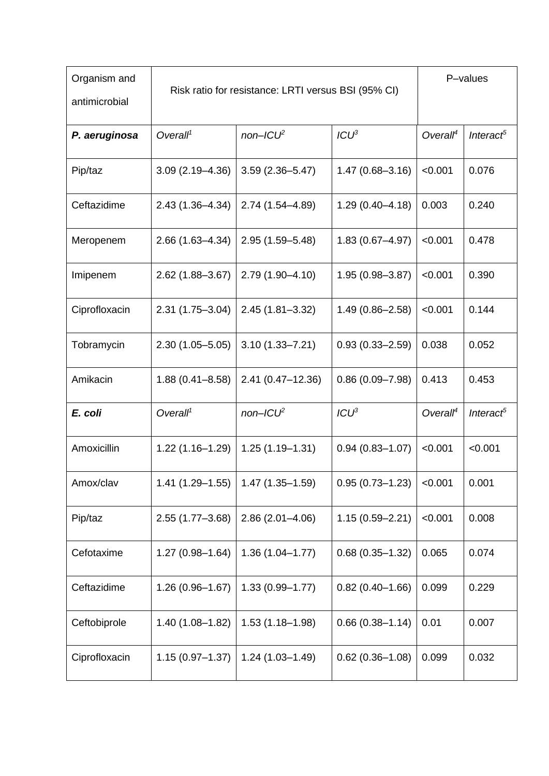| Organism and<br>antimicrobial | Risk ratio for resistance: LRTI versus BSI (95% CI) |                      |                     | P-values             |                       |
|-------------------------------|-----------------------------------------------------|----------------------|---------------------|----------------------|-----------------------|
| P. aeruginosa                 | Overall <sup>1</sup>                                | $non-ICU2$           | $ICU^3$             | Overall <sup>4</sup> | Interact <sup>5</sup> |
| Pip/taz                       | $3.09(2.19 - 4.36)$                                 | $3.59(2.36 - 5.47)$  | $1.47(0.68 - 3.16)$ | < 0.001              | 0.076                 |
| Ceftazidime                   | $2.43(1.36 - 4.34)$                                 | 2.74 (1.54 - 4.89)   | $1.29(0.40 - 4.18)$ | 0.003                | 0.240                 |
| Meropenem                     | $2.66(1.63 - 4.34)$                                 | $2.95(1.59 - 5.48)$  | $1.83(0.67 - 4.97)$ | < 0.001              | 0.478                 |
| Imipenem                      | $2.62(1.88 - 3.67)$                                 | 2.79 (1.90-4.10)     | $1.95(0.98 - 3.87)$ | < 0.001              | 0.390                 |
| Ciprofloxacin                 | $2.31(1.75 - 3.04)$                                 | $2.45(1.81 - 3.32)$  | $1.49(0.86 - 2.58)$ | < 0.001              | 0.144                 |
| Tobramycin                    | $2.30(1.05 - 5.05)$                                 | $3.10(1.33 - 7.21)$  | $0.93(0.33 - 2.59)$ | 0.038                | 0.052                 |
| Amikacin                      | $1.88(0.41 - 8.58)$                                 | $2.41(0.47 - 12.36)$ | $0.86(0.09 - 7.98)$ | 0.413                | 0.453                 |
| E. coli                       | Overall <sup>1</sup>                                | $non-ICU2$           | ICU <sup>3</sup>    | Overall <sup>4</sup> | Interact <sup>5</sup> |
| Amoxicillin                   | $1.22(1.16 - 1.29)$                                 | $1.25(1.19 - 1.31)$  | $0.94(0.83 - 1.07)$ | < 0.001              | < 0.001               |
| Amox/clav                     | 1.41 (1.29–1.55)                                    | $1.47(1.35 - 1.59)$  | $0.95(0.73 - 1.23)$ | < 0.001              | 0.001                 |
| Pip/taz                       | $2.55(1.77 - 3.68)$                                 | $2.86(2.01 - 4.06)$  | $1.15(0.59 - 2.21)$ | < 0.001              | 0.008                 |
| Cefotaxime                    | $1.27(0.98 - 1.64)$                                 | $1.36(1.04 - 1.77)$  | $0.68(0.35 - 1.32)$ | 0.065                | 0.074                 |
| Ceftazidime                   | $1.26(0.96 - 1.67)$                                 | $1.33(0.99 - 1.77)$  | $0.82(0.40 - 1.66)$ | 0.099                | 0.229                 |
| Ceftobiprole                  | 1.40 (1.08-1.82)                                    | $1.53(1.18 - 1.98)$  | $0.66(0.38 - 1.14)$ | 0.01                 | 0.007                 |
| Ciprofloxacin                 | $1.15(0.97 - 1.37)$                                 | $1.24(1.03 - 1.49)$  | $0.62(0.36 - 1.08)$ | 0.099                | 0.032                 |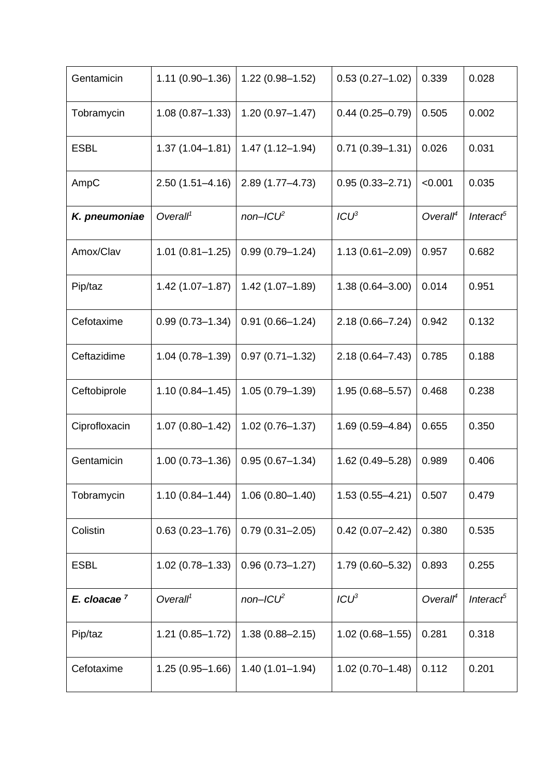| Gentamicin              | $1.11(0.90 - 1.36)$  | $1.22(0.98 - 1.52)$ | $0.53(0.27 - 1.02)$ | 0.339                | 0.028                 |
|-------------------------|----------------------|---------------------|---------------------|----------------------|-----------------------|
| Tobramycin              | $1.08(0.87 - 1.33)$  | $1.20(0.97 - 1.47)$ | $0.44(0.25 - 0.79)$ | 0.505                | 0.002                 |
| <b>ESBL</b>             | $1.37(1.04 - 1.81)$  | $1.47(1.12 - 1.94)$ | $0.71(0.39 - 1.31)$ | 0.026                | 0.031                 |
| AmpC                    | $2.50(1.51 - 4.16)$  | $2.89(1.77 - 4.73)$ | $0.95(0.33 - 2.71)$ | < 0.001              | 0.035                 |
| K. pneumoniae           | Overall <sup>1</sup> | $non-ICU2$          | $ICU^3$             | Overall <sup>4</sup> | Interact <sup>5</sup> |
| Amox/Clav               | $1.01(0.81 - 1.25)$  | $0.99(0.79 - 1.24)$ | $1.13(0.61 - 2.09)$ | 0.957                | 0.682                 |
| Pip/taz                 | $1.42(1.07 - 1.87)$  | $1.42(1.07 - 1.89)$ | $1.38(0.64 - 3.00)$ | 0.014                | 0.951                 |
| Cefotaxime              | $0.99(0.73 - 1.34)$  | $0.91(0.66 - 1.24)$ | $2.18(0.66 - 7.24)$ | 0.942                | 0.132                 |
| Ceftazidime             | $1.04(0.78 - 1.39)$  | $0.97(0.71 - 1.32)$ | $2.18(0.64 - 7.43)$ | 0.785                | 0.188                 |
| Ceftobiprole            | $1.10(0.84 - 1.45)$  | $1.05(0.79 - 1.39)$ | $1.95(0.68 - 5.57)$ | 0.468                | 0.238                 |
| Ciprofloxacin           | $1.07(0.80 - 1.42)$  | $1.02(0.76 - 1.37)$ | $1.69(0.59 - 4.84)$ | 0.655                | 0.350                 |
| Gentamicin              | $1.00(0.73 - 1.36)$  | $0.95(0.67 - 1.34)$ | $1.62(0.49 - 5.28)$ | 0.989                | 0.406                 |
| Tobramycin              | $1.10(0.84 - 1.44)$  | $1.06(0.80 - 1.40)$ | $1.53(0.55 - 4.21)$ | 0.507                | 0.479                 |
| Colistin                | $0.63(0.23 - 1.76)$  | $0.79(0.31 - 2.05)$ | $0.42(0.07 - 2.42)$ | 0.380                | 0.535                 |
| <b>ESBL</b>             | $1.02(0.78 - 1.33)$  | $0.96(0.73 - 1.27)$ | 1.79 (0.60-5.32)    | 0.893                | 0.255                 |
| E. cloacae <sup>7</sup> | Overall <sup>1</sup> | $non-ICU2$          | $ICU^3$             | Overall <sup>4</sup> | Interact <sup>5</sup> |
| Pip/taz                 | $1.21(0.85 - 1.72)$  | $1.38(0.88 - 2.15)$ | $1.02(0.68 - 1.55)$ | 0.281                | 0.318                 |
| Cefotaxime              | $1.25(0.95 - 1.66)$  | $1.40(1.01 - 1.94)$ | $1.02(0.70 - 1.48)$ | 0.112                | 0.201                 |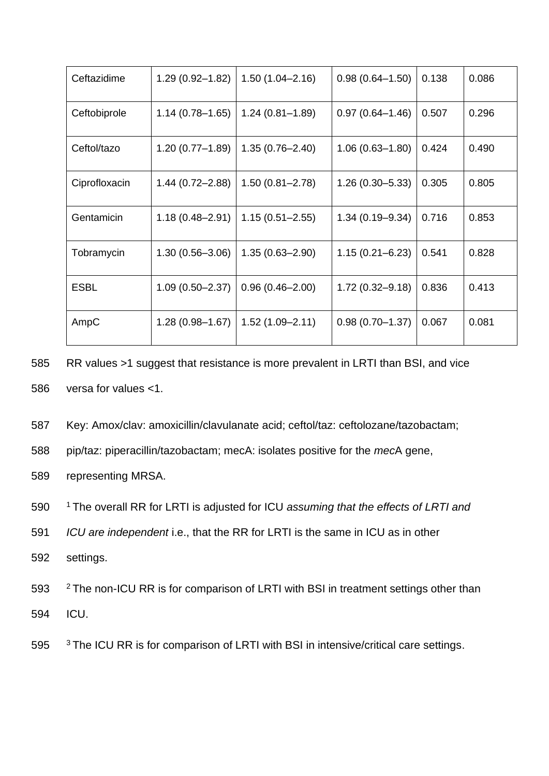| Ceftazidime   | $1.29(0.92 - 1.82)$ | $1.50(1.04 - 2.16)$ | $0.98(0.64 - 1.50)$ | 0.138 | 0.086 |
|---------------|---------------------|---------------------|---------------------|-------|-------|
| Ceftobiprole  | $1.14(0.78 - 1.65)$ | $1.24(0.81 - 1.89)$ | $0.97(0.64 - 1.46)$ | 0.507 | 0.296 |
| Ceftol/tazo   | $1.20(0.77 - 1.89)$ | $1.35(0.76 - 2.40)$ | $1.06(0.63 - 1.80)$ | 0.424 | 0.490 |
| Ciprofloxacin | $1.44(0.72 - 2.88)$ | $1.50(0.81 - 2.78)$ | $1.26(0.30 - 5.33)$ | 0.305 | 0.805 |
| Gentamicin    | $1.18(0.48 - 2.91)$ | $1.15(0.51 - 2.55)$ | $1.34(0.19 - 9.34)$ | 0.716 | 0.853 |
| Tobramycin    | $1.30(0.56 - 3.06)$ | $1.35(0.63 - 2.90)$ | $1.15(0.21 - 6.23)$ | 0.541 | 0.828 |
| <b>ESBL</b>   | $1.09(0.50 - 2.37)$ | $0.96(0.46 - 2.00)$ | $1.72(0.32 - 9.18)$ | 0.836 | 0.413 |
| AmpC          | $1.28(0.98 - 1.67)$ | $1.52(1.09 - 2.11)$ | $0.98(0.70 - 1.37)$ | 0.067 | 0.081 |

- 585 RR values >1 suggest that resistance is more prevalent in LRTI than BSI, and vice 586 versa for values <1.
- 587 Key: Amox/clav: amoxicillin/clavulanate acid; ceftol/taz: ceftolozane/tazobactam;
- 588 pip/taz: piperacillin/tazobactam; mecA: isolates positive for the *mec*A gene,
- 589 representing MRSA.
- <sup>1</sup>590 The overall RR for LRTI is adjusted for ICU *assuming that the effects of LRTI and*
- 591 *ICU are independent* i.e., that the RR for LRTI is the same in ICU as in other
- 592 settings.
- 593 <sup>2</sup> The non-ICU RR is for comparison of LRTI with BSI in treatment settings other than
- 594 ICU.
- 595 <sup>3</sup> The ICU RR is for comparison of LRTI with BSI in intensive/critical care settings.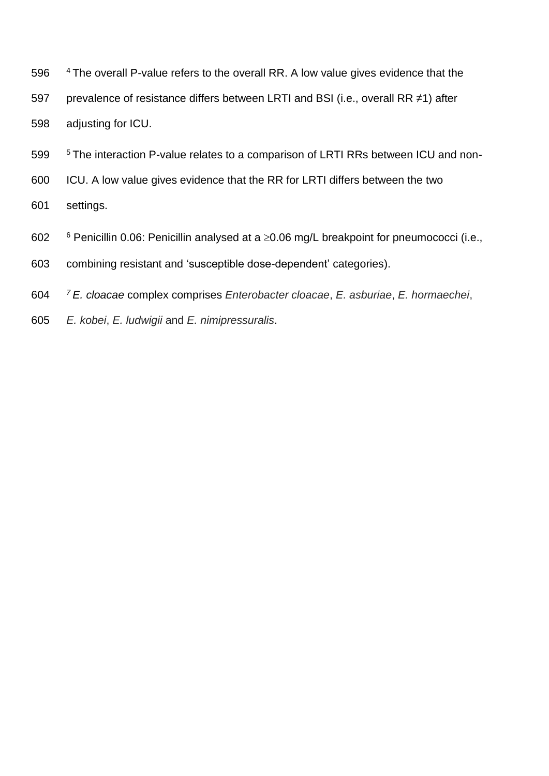- 596 <sup>4</sup> The overall P-value refers to the overall RR. A low value gives evidence that the prevalence of resistance differs between LRTI and BSI (i.e., overall RR ≠1) after adjusting for ICU.
- <sup>5</sup> The interaction P-value relates to a comparison of LRTI RRs between ICU and non-
- ICU. A low value gives evidence that the RR for LRTI differs between the two
- settings.
- 602  $\frac{6}{1}$  Penicillin 0.06: Penicillin analysed at a  $\geq$ 0.06 mg/L breakpoint for pneumococci (i.e.,
- combining resistant and 'susceptible dose-dependent' categories).
- *<sup>7</sup> E. cloacae* complex comprises *Enterobacter cloacae*, *E. asburiae*, *E. hormaechei*,
- *E. kobei*, *E. ludwigii* and *E. nimipressuralis*.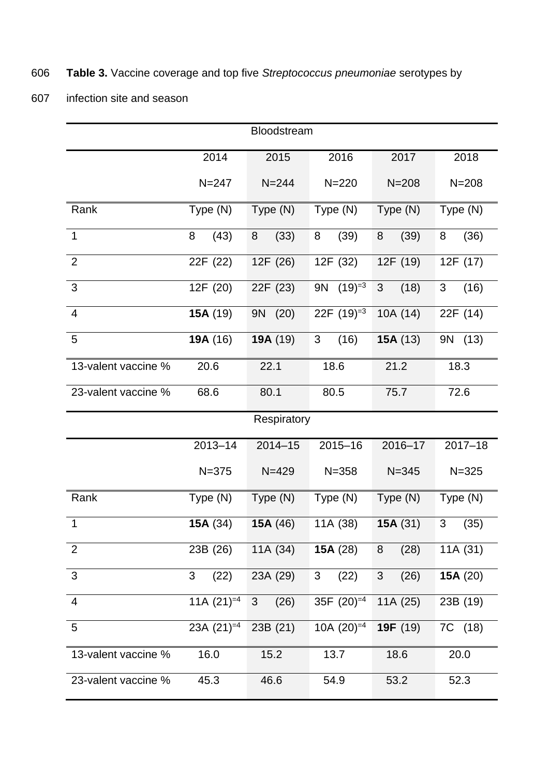# 606 **Table 3.** Vaccine coverage and top five *Streptococcus pneumoniae* serotypes by

607 infection site and season

|                     |                          | Bloodstream       |                          |                    |                        |
|---------------------|--------------------------|-------------------|--------------------------|--------------------|------------------------|
|                     | 2014                     | 2015              | 2016                     | 2017               | 2018                   |
|                     | $N = 247$                | $N = 244$         | $N = 220$                | $N = 208$          | $N = 208$              |
| Rank                | Type (N)                 | Type (N)          | Type (N)                 | Type (N)           | Type (N)               |
| $\mathbf{1}$        | (43)<br>8                | (33)<br>8         | (39)<br>8                | (39)<br>8          | (36)<br>8              |
| $\overline{2}$      | 22F (22)                 | 12F (26)          | 12F (32)                 | 12F (19)           | 12F (17)               |
| 3                   | 12F (20)                 | 22F (23)          | $(19) = 3$<br><b>9N</b>  | (18)<br>3          | $\mathfrak{S}$<br>(16) |
| $\overline{4}$      | 15A (19)                 | (20)<br><b>9N</b> | 22F $(19)^{3}$           | 10A (14)           | 22F (14)               |
| 5                   | 19A (16)                 | 19A (19)          | 3<br>(16)                | 15A(13)            | 9N (13)                |
| 13-valent vaccine % | 20.6                     | 22.1              | 18.6                     | 21.2               | 18.3                   |
| 23-valent vaccine % | 68.6                     | 80.1              | 80.5                     | 75.7               | 72.6                   |
|                     |                          | Respiratory       |                          |                    |                        |
|                     | 2013-14                  | $2014 - 15$       | $2015 - 16$              | 2016-17            | $2017 - 18$            |
|                     | $N = 375$                | $N = 429$         | $N = 358$                | $N = 345$          | $N = 325$              |
| Rank                | Type (N)                 | Type (N)          | Type (N)                 | Type (N)           | Type (N)               |
| $\mathbf 1$         |                          |                   |                          |                    |                        |
|                     | 15A $(34)$               | 15A $(46)$        | 11A (38)                 | 15A(31)            | 3<br>(35)              |
| $\overline{2}$      | 23B (26)                 | 11A (34)          | 15A $(28)$               | (28)<br>8          | 11A (31)               |
| $\overline{3}$      | (22)<br>3                | 23A (29)          | $\mathbf{3}$<br>(22)     | (26)<br>$\sqrt{3}$ | 15A (20)               |
| $\overline{4}$      | 11A $(21)$ <sup>=4</sup> | (26)<br>3         | 35F $(20)$ <sup>=4</sup> | 11A (25)           | 23B (19)               |
| $\overline{5}$      | 23A $(21)$ <sup>=4</sup> | 23B (21)          | 10A $(20)$ <sup>=4</sup> | 19F (19)           | 7C (18)                |
| 13-valent vaccine % | 16.0                     | 15.2              | 13.7                     | 18.6               | 20.0                   |